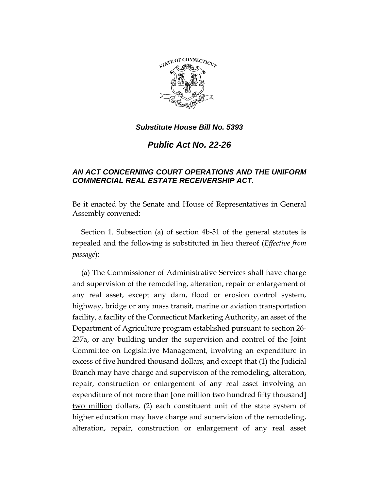

*Public Act No. 22-26*

# *AN ACT CONCERNING COURT OPERATIONS AND THE UNIFORM COMMERCIAL REAL ESTATE RECEIVERSHIP ACT.*

Be it enacted by the Senate and House of Representatives in General Assembly convened:

Section 1. Subsection (a) of section 4b-51 of the general statutes is repealed and the following is substituted in lieu thereof (*Effective from passage*):

(a) The Commissioner of Administrative Services shall have charge and supervision of the remodeling, alteration, repair or enlargement of any real asset, except any dam, flood or erosion control system, highway, bridge or any mass transit, marine or aviation transportation facility, a facility of the Connecticut Marketing Authority, an asset of the Department of Agriculture program established pursuant to section 26- 237a, or any building under the supervision and control of the Joint Committee on Legislative Management, involving an expenditure in excess of five hundred thousand dollars, and except that (1) the Judicial Branch may have charge and supervision of the remodeling, alteration, repair, construction or enlargement of any real asset involving an expenditure of not more than **[**one million two hundred fifty thousand**]** two million dollars, (2) each constituent unit of the state system of higher education may have charge and supervision of the remodeling, alteration, repair, construction or enlargement of any real asset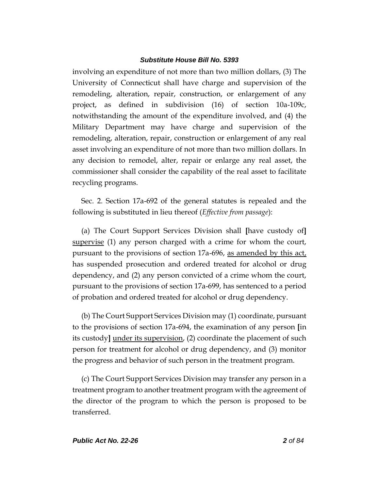involving an expenditure of not more than two million dollars, (3) The University of Connecticut shall have charge and supervision of the remodeling, alteration, repair, construction, or enlargement of any project, as defined in subdivision (16) of section 10a-109c, notwithstanding the amount of the expenditure involved, and (4) the Military Department may have charge and supervision of the remodeling, alteration, repair, construction or enlargement of any real asset involving an expenditure of not more than two million dollars. In any decision to remodel, alter, repair or enlarge any real asset, the commissioner shall consider the capability of the real asset to facilitate recycling programs.

Sec. 2. Section 17a-692 of the general statutes is repealed and the following is substituted in lieu thereof (*Effective from passage*):

(a) The Court Support Services Division shall **[**have custody of**]** supervise (1) any person charged with a crime for whom the court, pursuant to the provisions of section 17a-696, as amended by this act, has suspended prosecution and ordered treated for alcohol or drug dependency, and (2) any person convicted of a crime whom the court, pursuant to the provisions of section 17a-699, has sentenced to a period of probation and ordered treated for alcohol or drug dependency.

(b) The Court Support Services Division may (1) coordinate, pursuant to the provisions of section 17a-694, the examination of any person **[**in its custody**]** under its supervision, (2) coordinate the placement of such person for treatment for alcohol or drug dependency, and (3) monitor the progress and behavior of such person in the treatment program.

(c) The Court Support Services Division may transfer any person in a treatment program to another treatment program with the agreement of the director of the program to which the person is proposed to be transferred.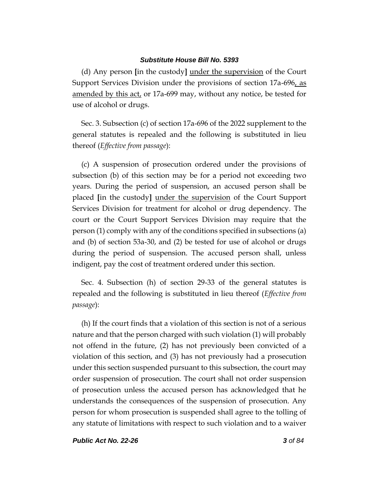(d) Any person **[**in the custody**]** under the supervision of the Court Support Services Division under the provisions of section 17a-696, as amended by this act, or 17a-699 may, without any notice, be tested for use of alcohol or drugs.

Sec. 3. Subsection (c) of section 17a-696 of the 2022 supplement to the general statutes is repealed and the following is substituted in lieu thereof (*Effective from passage*):

(c) A suspension of prosecution ordered under the provisions of subsection (b) of this section may be for a period not exceeding two years. During the period of suspension, an accused person shall be placed **[**in the custody**]** under the supervision of the Court Support Services Division for treatment for alcohol or drug dependency. The court or the Court Support Services Division may require that the person (1) comply with any of the conditions specified in subsections (a) and (b) of section 53a-30, and (2) be tested for use of alcohol or drugs during the period of suspension. The accused person shall, unless indigent, pay the cost of treatment ordered under this section.

Sec. 4. Subsection (h) of section 29-33 of the general statutes is repealed and the following is substituted in lieu thereof (*Effective from passage*):

(h) If the court finds that a violation of this section is not of a serious nature and that the person charged with such violation (1) will probably not offend in the future, (2) has not previously been convicted of a violation of this section, and (3) has not previously had a prosecution under this section suspended pursuant to this subsection, the court may order suspension of prosecution. The court shall not order suspension of prosecution unless the accused person has acknowledged that he understands the consequences of the suspension of prosecution. Any person for whom prosecution is suspended shall agree to the tolling of any statute of limitations with respect to such violation and to a waiver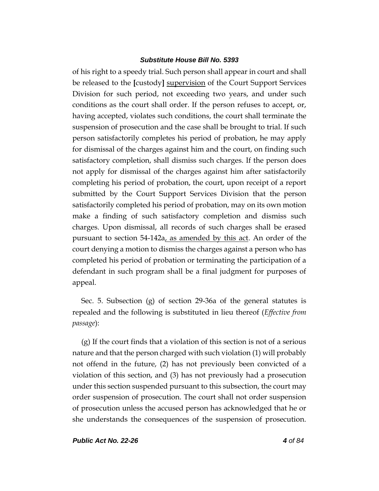of his right to a speedy trial. Such person shall appear in court and shall be released to the **[**custody**]** supervision of the Court Support Services Division for such period, not exceeding two years, and under such conditions as the court shall order. If the person refuses to accept, or, having accepted, violates such conditions, the court shall terminate the suspension of prosecution and the case shall be brought to trial. If such person satisfactorily completes his period of probation, he may apply for dismissal of the charges against him and the court, on finding such satisfactory completion, shall dismiss such charges. If the person does not apply for dismissal of the charges against him after satisfactorily completing his period of probation, the court, upon receipt of a report submitted by the Court Support Services Division that the person satisfactorily completed his period of probation, may on its own motion make a finding of such satisfactory completion and dismiss such charges. Upon dismissal, all records of such charges shall be erased pursuant to section 54-142a, as amended by this act. An order of the court denying a motion to dismiss the charges against a person who has completed his period of probation or terminating the participation of a defendant in such program shall be a final judgment for purposes of appeal.

Sec. 5. Subsection (g) of section 29-36a of the general statutes is repealed and the following is substituted in lieu thereof (*Effective from passage*):

(g) If the court finds that a violation of this section is not of a serious nature and that the person charged with such violation (1) will probably not offend in the future, (2) has not previously been convicted of a violation of this section, and (3) has not previously had a prosecution under this section suspended pursuant to this subsection, the court may order suspension of prosecution. The court shall not order suspension of prosecution unless the accused person has acknowledged that he or she understands the consequences of the suspension of prosecution.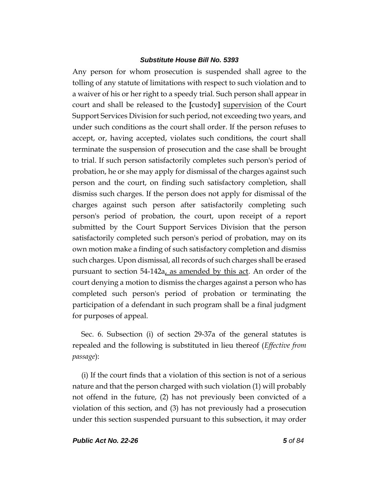Any person for whom prosecution is suspended shall agree to the tolling of any statute of limitations with respect to such violation and to a waiver of his or her right to a speedy trial. Such person shall appear in court and shall be released to the **[**custody**]** supervision of the Court Support Services Division for such period, not exceeding two years, and under such conditions as the court shall order. If the person refuses to accept, or, having accepted, violates such conditions, the court shall terminate the suspension of prosecution and the case shall be brought to trial. If such person satisfactorily completes such person's period of probation, he or she may apply for dismissal of the charges against such person and the court, on finding such satisfactory completion, shall dismiss such charges. If the person does not apply for dismissal of the charges against such person after satisfactorily completing such person's period of probation, the court, upon receipt of a report submitted by the Court Support Services Division that the person satisfactorily completed such person's period of probation, may on its own motion make a finding of such satisfactory completion and dismiss such charges. Upon dismissal, all records of such charges shall be erased pursuant to section 54-142a, as amended by this act. An order of the court denying a motion to dismiss the charges against a person who has completed such person's period of probation or terminating the participation of a defendant in such program shall be a final judgment for purposes of appeal.

Sec. 6. Subsection (i) of section 29-37a of the general statutes is repealed and the following is substituted in lieu thereof (*Effective from passage*):

(i) If the court finds that a violation of this section is not of a serious nature and that the person charged with such violation (1) will probably not offend in the future, (2) has not previously been convicted of a violation of this section, and (3) has not previously had a prosecution under this section suspended pursuant to this subsection, it may order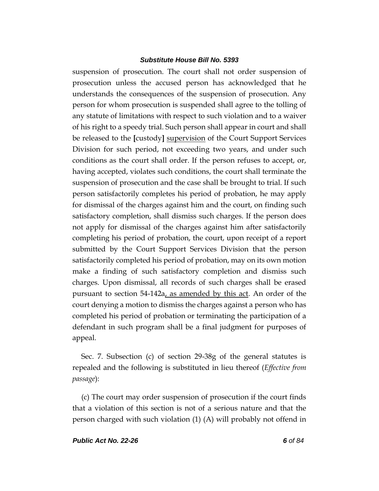suspension of prosecution. The court shall not order suspension of prosecution unless the accused person has acknowledged that he understands the consequences of the suspension of prosecution. Any person for whom prosecution is suspended shall agree to the tolling of any statute of limitations with respect to such violation and to a waiver of his right to a speedy trial. Such person shall appear in court and shall be released to the **[**custody**]** supervision of the Court Support Services Division for such period, not exceeding two years, and under such conditions as the court shall order. If the person refuses to accept, or, having accepted, violates such conditions, the court shall terminate the suspension of prosecution and the case shall be brought to trial. If such person satisfactorily completes his period of probation, he may apply for dismissal of the charges against him and the court, on finding such satisfactory completion, shall dismiss such charges. If the person does not apply for dismissal of the charges against him after satisfactorily completing his period of probation, the court, upon receipt of a report submitted by the Court Support Services Division that the person satisfactorily completed his period of probation, may on its own motion make a finding of such satisfactory completion and dismiss such charges. Upon dismissal, all records of such charges shall be erased pursuant to section 54-142a, as amended by this act. An order of the court denying a motion to dismiss the charges against a person who has completed his period of probation or terminating the participation of a defendant in such program shall be a final judgment for purposes of appeal.

Sec. 7. Subsection (c) of section 29-38g of the general statutes is repealed and the following is substituted in lieu thereof (*Effective from passage*):

(c) The court may order suspension of prosecution if the court finds that a violation of this section is not of a serious nature and that the person charged with such violation (1) (A) will probably not offend in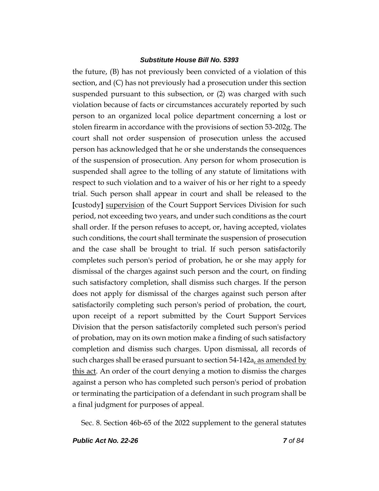the future, (B) has not previously been convicted of a violation of this section, and (C) has not previously had a prosecution under this section suspended pursuant to this subsection, or (2) was charged with such violation because of facts or circumstances accurately reported by such person to an organized local police department concerning a lost or stolen firearm in accordance with the provisions of section 53-202g. The court shall not order suspension of prosecution unless the accused person has acknowledged that he or she understands the consequences of the suspension of prosecution. Any person for whom prosecution is suspended shall agree to the tolling of any statute of limitations with respect to such violation and to a waiver of his or her right to a speedy trial. Such person shall appear in court and shall be released to the **[**custody**]** supervision of the Court Support Services Division for such period, not exceeding two years, and under such conditions as the court shall order. If the person refuses to accept, or, having accepted, violates such conditions, the court shall terminate the suspension of prosecution and the case shall be brought to trial. If such person satisfactorily completes such person's period of probation, he or she may apply for dismissal of the charges against such person and the court, on finding such satisfactory completion, shall dismiss such charges. If the person does not apply for dismissal of the charges against such person after satisfactorily completing such person's period of probation, the court, upon receipt of a report submitted by the Court Support Services Division that the person satisfactorily completed such person's period of probation, may on its own motion make a finding of such satisfactory completion and dismiss such charges. Upon dismissal, all records of such charges shall be erased pursuant to section 54-142a, as amended by this act. An order of the court denying a motion to dismiss the charges against a person who has completed such person's period of probation or terminating the participation of a defendant in such program shall be a final judgment for purposes of appeal.

Sec. 8. Section 46b-65 of the 2022 supplement to the general statutes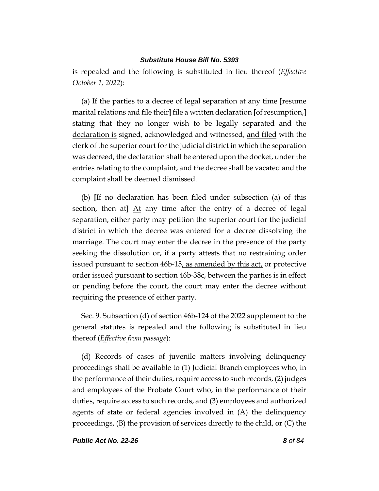is repealed and the following is substituted in lieu thereof (*Effective October 1, 2022*):

(a) If the parties to a decree of legal separation at any time **[**resume marital relations and file their**]** file a written declaration **[**of resumption,**]** stating that they no longer wish to be legally separated and the declaration is signed, acknowledged and witnessed, and filed with the clerk of the superior court for the judicial district in which the separation was decreed, the declaration shall be entered upon the docket, under the entries relating to the complaint, and the decree shall be vacated and the complaint shall be deemed dismissed.

(b) **[**If no declaration has been filed under subsection (a) of this section, then at**]** At any time after the entry of a decree of legal separation, either party may petition the superior court for the judicial district in which the decree was entered for a decree dissolving the marriage. The court may enter the decree in the presence of the party seeking the dissolution or, if a party attests that no restraining order issued pursuant to section  $46b-15$ , as amended by this act, or protective order issued pursuant to section 46b-38c, between the parties is in effect or pending before the court, the court may enter the decree without requiring the presence of either party.

Sec. 9. Subsection (d) of section 46b-124 of the 2022 supplement to the general statutes is repealed and the following is substituted in lieu thereof (*Effective from passage*):

(d) Records of cases of juvenile matters involving delinquency proceedings shall be available to (1) Judicial Branch employees who, in the performance of their duties, require access to such records, (2) judges and employees of the Probate Court who, in the performance of their duties, require access to such records, and (3) employees and authorized agents of state or federal agencies involved in (A) the delinquency proceedings, (B) the provision of services directly to the child, or (C) the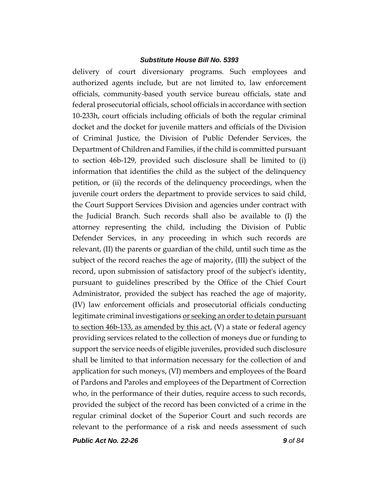delivery of court diversionary programs. Such employees and authorized agents include, but are not limited to, law enforcement officials, community-based youth service bureau officials, state and federal prosecutorial officials, school officials in accordance with section 10-233h, court officials including officials of both the regular criminal docket and the docket for juvenile matters and officials of the Division of Criminal Justice, the Division of Public Defender Services, the Department of Children and Families, if the child is committed pursuant to section 46b-129, provided such disclosure shall be limited to (i) information that identifies the child as the subject of the delinquency petition, or (ii) the records of the delinquency proceedings, when the juvenile court orders the department to provide services to said child, the Court Support Services Division and agencies under contract with the Judicial Branch. Such records shall also be available to (I) the attorney representing the child, including the Division of Public Defender Services, in any proceeding in which such records are relevant, (II) the parents or guardian of the child, until such time as the subject of the record reaches the age of majority, (III) the subject of the record, upon submission of satisfactory proof of the subject's identity, pursuant to guidelines prescribed by the Office of the Chief Court Administrator, provided the subject has reached the age of majority, (IV) law enforcement officials and prosecutorial officials conducting legitimate criminal investigations or seeking an order to detain pursuant to section 46b-133, as amended by this act, (V) a state or federal agency providing services related to the collection of moneys due or funding to support the service needs of eligible juveniles, provided such disclosure shall be limited to that information necessary for the collection of and application for such moneys, (VI) members and employees of the Board of Pardons and Paroles and employees of the Department of Correction who, in the performance of their duties, require access to such records, provided the subject of the record has been convicted of a crime in the regular criminal docket of the Superior Court and such records are relevant to the performance of a risk and needs assessment of such

*Public Act No. 22-26 9 of 84*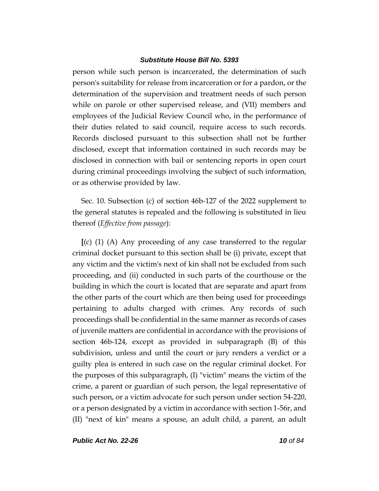person while such person is incarcerated, the determination of such person's suitability for release from incarceration or for a pardon, or the determination of the supervision and treatment needs of such person while on parole or other supervised release, and (VII) members and employees of the Judicial Review Council who, in the performance of their duties related to said council, require access to such records. Records disclosed pursuant to this subsection shall not be further disclosed, except that information contained in such records may be disclosed in connection with bail or sentencing reports in open court during criminal proceedings involving the subject of such information, or as otherwise provided by law.

Sec. 10. Subsection (c) of section 46b-127 of the 2022 supplement to the general statutes is repealed and the following is substituted in lieu thereof (*Effective from passage*):

**[**(c) (1) (A) Any proceeding of any case transferred to the regular criminal docket pursuant to this section shall be (i) private, except that any victim and the victim's next of kin shall not be excluded from such proceeding, and (ii) conducted in such parts of the courthouse or the building in which the court is located that are separate and apart from the other parts of the court which are then being used for proceedings pertaining to adults charged with crimes. Any records of such proceedings shall be confidential in the same manner as records of cases of juvenile matters are confidential in accordance with the provisions of section 46b-124, except as provided in subparagraph (B) of this subdivision, unless and until the court or jury renders a verdict or a guilty plea is entered in such case on the regular criminal docket. For the purposes of this subparagraph, (I) "victim" means the victim of the crime, a parent or guardian of such person, the legal representative of such person, or a victim advocate for such person under section 54-220, or a person designated by a victim in accordance with section 1-56r, and (II) "next of kin" means a spouse, an adult child, a parent, an adult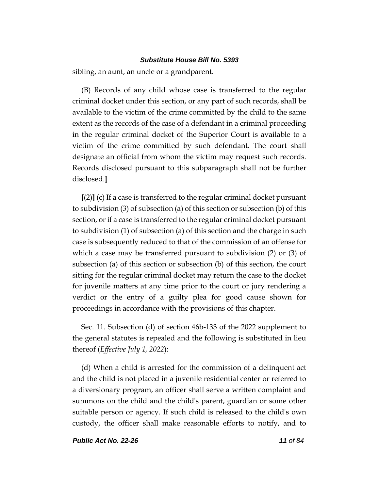sibling, an aunt, an uncle or a grandparent.

(B) Records of any child whose case is transferred to the regular criminal docket under this section, or any part of such records, shall be available to the victim of the crime committed by the child to the same extent as the records of the case of a defendant in a criminal proceeding in the regular criminal docket of the Superior Court is available to a victim of the crime committed by such defendant. The court shall designate an official from whom the victim may request such records. Records disclosed pursuant to this subparagraph shall not be further disclosed.**]**

**[**(2)**]** (c) If a case is transferred to the regular criminal docket pursuant to subdivision (3) of subsection (a) of this section or subsection (b) of this section, or if a case is transferred to the regular criminal docket pursuant to subdivision (1) of subsection (a) of this section and the charge in such case is subsequently reduced to that of the commission of an offense for which a case may be transferred pursuant to subdivision (2) or (3) of subsection (a) of this section or subsection (b) of this section, the court sitting for the regular criminal docket may return the case to the docket for juvenile matters at any time prior to the court or jury rendering a verdict or the entry of a guilty plea for good cause shown for proceedings in accordance with the provisions of this chapter.

Sec. 11. Subsection (d) of section 46b-133 of the 2022 supplement to the general statutes is repealed and the following is substituted in lieu thereof (*Effective July 1, 2022*):

(d) When a child is arrested for the commission of a delinquent act and the child is not placed in a juvenile residential center or referred to a diversionary program, an officer shall serve a written complaint and summons on the child and the child's parent, guardian or some other suitable person or agency. If such child is released to the child's own custody, the officer shall make reasonable efforts to notify, and to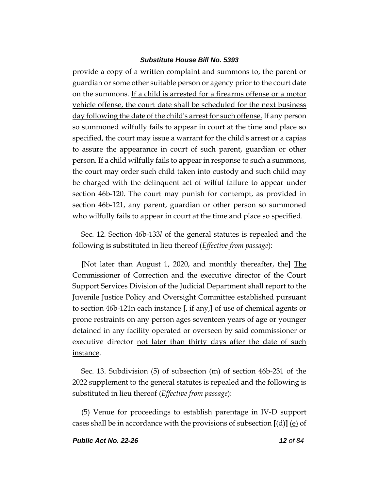provide a copy of a written complaint and summons to, the parent or guardian or some other suitable person or agency prior to the court date on the summons. If a child is arrested for a firearms offense or a motor vehicle offense, the court date shall be scheduled for the next business day following the date of the child's arrest for such offense. If any person so summoned wilfully fails to appear in court at the time and place so specified, the court may issue a warrant for the child's arrest or a capias to assure the appearance in court of such parent, guardian or other person. If a child wilfully fails to appear in response to such a summons, the court may order such child taken into custody and such child may be charged with the delinquent act of wilful failure to appear under section 46b-120. The court may punish for contempt, as provided in section 46b-121, any parent, guardian or other person so summoned who wilfully fails to appear in court at the time and place so specified.

Sec. 12. Section 46b-133*l* of the general statutes is repealed and the following is substituted in lieu thereof (*Effective from passage*):

**[**Not later than August 1, 2020, and monthly thereafter, the**]** The Commissioner of Correction and the executive director of the Court Support Services Division of the Judicial Department shall report to the Juvenile Justice Policy and Oversight Committee established pursuant to section 46b-121n each instance **[**, if any,**]** of use of chemical agents or prone restraints on any person ages seventeen years of age or younger detained in any facility operated or overseen by said commissioner or executive director not later than thirty days after the date of such instance.

Sec. 13. Subdivision (5) of subsection (m) of section 46b-231 of the 2022 supplement to the general statutes is repealed and the following is substituted in lieu thereof (*Effective from passage*):

(5) Venue for proceedings to establish parentage in IV-D support cases shall be in accordance with the provisions of subsection **[**(d)**]** (e) of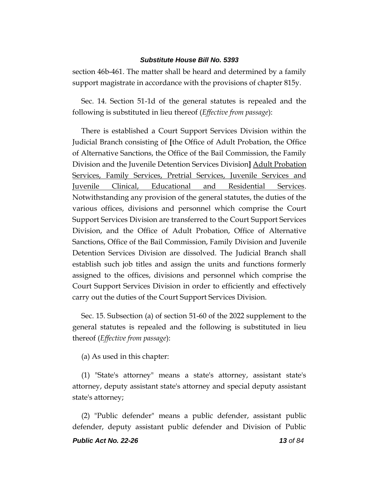section 46b-461. The matter shall be heard and determined by a family support magistrate in accordance with the provisions of chapter 815y.

Sec. 14. Section 51-1d of the general statutes is repealed and the following is substituted in lieu thereof (*Effective from passage*):

There is established a Court Support Services Division within the Judicial Branch consisting of **[**the Office of Adult Probation, the Office of Alternative Sanctions, the Office of the Bail Commission, the Family Division and the Juvenile Detention Services Division**]** Adult Probation Services, Family Services, Pretrial Services, Juvenile Services and Juvenile Clinical, Educational and Residential Services. Notwithstanding any provision of the general statutes, the duties of the various offices, divisions and personnel which comprise the Court Support Services Division are transferred to the Court Support Services Division, and the Office of Adult Probation, Office of Alternative Sanctions, Office of the Bail Commission, Family Division and Juvenile Detention Services Division are dissolved. The Judicial Branch shall establish such job titles and assign the units and functions formerly assigned to the offices, divisions and personnel which comprise the Court Support Services Division in order to efficiently and effectively carry out the duties of the Court Support Services Division.

Sec. 15. Subsection (a) of section 51-60 of the 2022 supplement to the general statutes is repealed and the following is substituted in lieu thereof (*Effective from passage*):

(a) As used in this chapter:

(1) "State's attorney" means a state's attorney, assistant state's attorney, deputy assistant state's attorney and special deputy assistant state's attorney;

(2) "Public defender" means a public defender, assistant public defender, deputy assistant public defender and Division of Public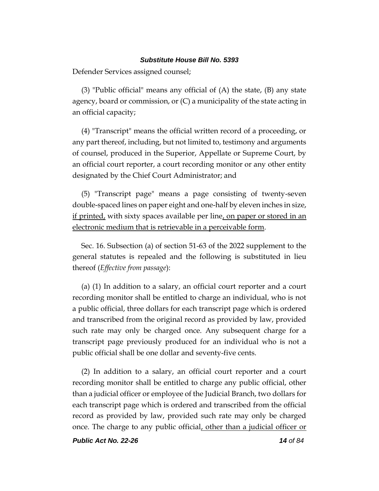Defender Services assigned counsel;

(3) "Public official" means any official of (A) the state, (B) any state agency, board or commission, or (C) a municipality of the state acting in an official capacity;

(4) "Transcript" means the official written record of a proceeding, or any part thereof, including, but not limited to, testimony and arguments of counsel, produced in the Superior, Appellate or Supreme Court, by an official court reporter, a court recording monitor or any other entity designated by the Chief Court Administrator; and

(5) "Transcript page" means a page consisting of twenty-seven double-spaced lines on paper eight and one-half by eleven inches in size, if printed, with sixty spaces available per line, on paper or stored in an electronic medium that is retrievable in a perceivable form.

Sec. 16. Subsection (a) of section 51-63 of the 2022 supplement to the general statutes is repealed and the following is substituted in lieu thereof (*Effective from passage*):

(a) (1) In addition to a salary, an official court reporter and a court recording monitor shall be entitled to charge an individual, who is not a public official, three dollars for each transcript page which is ordered and transcribed from the original record as provided by law, provided such rate may only be charged once. Any subsequent charge for a transcript page previously produced for an individual who is not a public official shall be one dollar and seventy-five cents.

(2) In addition to a salary, an official court reporter and a court recording monitor shall be entitled to charge any public official, other than a judicial officer or employee of the Judicial Branch, two dollars for each transcript page which is ordered and transcribed from the official record as provided by law, provided such rate may only be charged once. The charge to any public official, other than a judicial officer or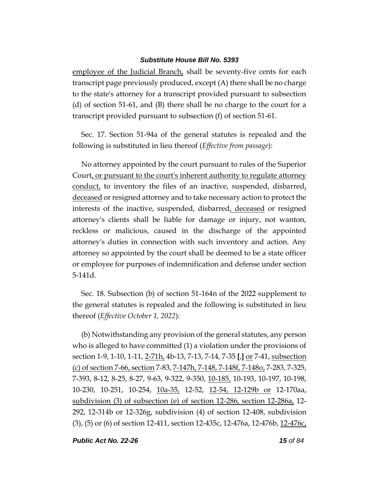employee of the Judicial Branch, shall be seventy-five cents for each transcript page previously produced, except (A) there shall be no charge to the state's attorney for a transcript provided pursuant to subsection (d) of section 51-61, and (B) there shall be no charge to the court for a transcript provided pursuant to subsection (f) of section 51-61.

Sec. 17. Section 51-94a of the general statutes is repealed and the following is substituted in lieu thereof (*Effective from passage*):

No attorney appointed by the court pursuant to rules of the Superior Court, or pursuant to the court's inherent authority to regulate attorney <u>conduct</u>, to inventory the files of an inactive, suspended, disbarred, deceased or resigned attorney and to take necessary action to protect the interests of the inactive, suspended, disbarred, deceased or resigned attorney's clients shall be liable for damage or injury, not wanton, reckless or malicious, caused in the discharge of the appointed attorney's duties in connection with such inventory and action. Any attorney so appointed by the court shall be deemed to be a state officer or employee for purposes of indemnification and defense under section 5-141d.

Sec. 18. Subsection (b) of section 51-164n of the 2022 supplement to the general statutes is repealed and the following is substituted in lieu thereof (*Effective October 1, 2022*):

(b) Notwithstanding any provision of the general statutes, any person who is alleged to have committed (1) a violation under the provisions of section 1-9, 1-10, 1-11, 2-71h, 4b-13, 7-13, 7-14, 7-35 **[**,**]** or 7-41, subsection (c) of section 7-66, section 7-83, 7-147h, 7-148, 7-148f, 7-148o, 7-283, 7-325, 7-393, 8-12, 8-25, 8-27, 9-63, 9-322, 9-350, 10-185, 10-193, 10-197, 10-198, 10-230, 10-251, 10-254, 10a-35, 12-52, 12-54, 12-129b or 12-170aa, subdivision (3) of subsection (e) of section 12-286, section 12-286a, 12- 292, 12-314b or 12-326g, subdivision (4) of section 12-408, subdivision (3), (5) or (6) of section 12-411, section 12-435c, 12-476a, 12-476b, 12-476c,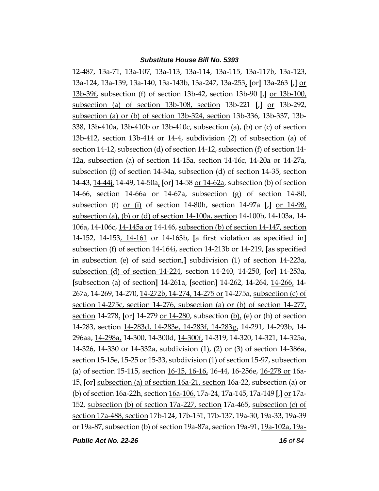12-487, 13a-71, 13a-107, 13a-113, 13a-114, 13a-115, 13a-117b, 13a-123, 13a-124, 13a-139, 13a-140, 13a-143b, 13a-247, 13a-253, **[**or**]** 13a-263 **[**,**]** or 13b-39f, subsection (f) of section 13b-42, section 13b-90 **[**,**]** or 13b-100, subsection (a) of section 13b-108, section 13b-221 **[**,**]** or 13b-292, subsection (a) or (b) of section 13b-324, section 13b-336, 13b-337, 13b-338, 13b-410a, 13b-410b or 13b-410c, subsection (a), (b) or (c) of section 13b-412, section 13b-414 or 14-4, subdivision (2) of subsection (a) of section 14-12, subsection (d) of section 14-12, subsection (f) of section 14- 12a, subsection (a) of section 14-15a, section 14-16c, 14-20a or 14-27a, subsection (f) of section 14-34a, subsection (d) of section 14-35, section 14-43, 14-44j, 14-49, 14-50a, **[**or**]** 14-58 or 14-62a, subsection (b) of section 14-66, section 14-66a or 14-67a, subsection (g) of section 14-80, subsection (f) or (i) of section 14-80h, section 14-97a **[**,**]** or 14-98, subsection (a), (b) or (d) of section 14-100a, section 14-100b, 14-103a, 14- 106a, 14-106c, 14-145a or 14-146, subsection (b) of section 14-147, section 14-152, 14-153, 14-161 or 14-163b, **[**a first violation as specified in**]** subsection (f) of section 14-164i, section 14-213b or 14-219, **[**as specified in subsection (e) of said section,**]** subdivision (1) of section 14-223a, subsection (d) of section 14-224, section 14-240, 14-250, **[**or**]** 14-253a, **[**subsection (a) of section**]** 14-261a, **[**section**]** 14-262, 14-264, 14-266, 14- 267a, 14-269, 14-270, 14-272b, 14-274, 14-275 or 14-275a, subsection (c) of section 14-275c, section 14-276, subsection (a) or (b) of section 14-277, section 14-278, **[**or**]** 14-279 or 14-280, subsection (b), (e) or (h) of section 14-283, section 14-283d, 14-283e, 14-283f, 14-283g, 14-291, 14-293b, 14- 296aa, 14-298a, 14-300, 14-300d, 14-300f, 14-319, 14-320, 14-321, 14-325a, 14-326, 14-330 or 14-332a, subdivision (1), (2) or (3) of section 14-386a, section 15-15e, 15-25 or 15-33, subdivision (1) of section 15-97, subsection (a) of section 15-115, section 16-15, 16-16, 16-44, 16-256e, 16-278 or 16a-15, **[**or**]** subsection (a) of section 16a-21, section 16a-22, subsection (a) or (b) of section 16a-22h, section 16a-106, 17a-24, 17a-145, 17a-149 **[**,**]** or 17a-152, subsection (b) of section 17a-227, section 17a-465, subsection (c) of section 17a-488, section 17b-124, 17b-131, 17b-137, 19a-30, 19a-33, 19a-39 or 19a-87, subsection (b) of section 19a-87a, section 19a-91, 19a-102a, 19a-

*Public Act No. 22-26 16 of 84*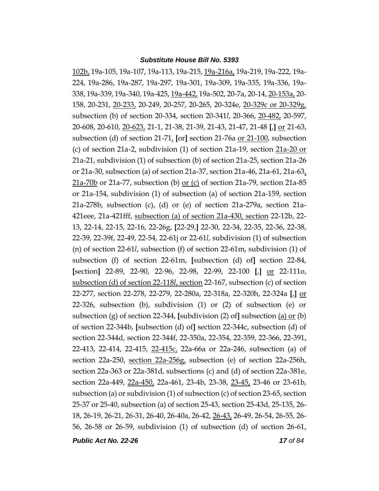102b, 19a-105, 19a-107, 19a-113, 19a-215, 19a-216a, 19a-219, 19a-222, 19a-224, 19a-286, 19a-287, 19a-297, 19a-301, 19a-309, 19a-335, 19a-336, 19a-338, 19a-339, 19a-340, 19a-425, 19a-442, 19a-502, 20-7a, 20-14, 20-153a, 20- 158, 20-231, 20-233, 20-249, 20-257, 20-265, 20-324e, 20-329c or 20-329g, subsection (b) of section 20-334, section 20-341*l*, 20-366, 20-482, 20-597, 20-608, 20-610, 20-623, 21-1, 21-38, 21-39, 21-43, 21-47, 21-48 **[**,**]** or 21-63, subsection (d) of section 21-71, **[**or**]** section 21-76a or 21-100, subsection (c) of section 21a-2, subdivision (1) of section 21a-19, section 21a-20 or 21a-21, subdivision (1) of subsection (b) of section 21a-25, section 21a-26 or 21a-30, subsection (a) of section 21a-37, section 21a-46, 21a-61, 21a-63, 21a-70b or 21a-77, subsection (b) or (c) of section 21a-79, section 21a-85 or 21a-154, subdivision (1) of subsection (a) of section 21a-159, section 21a-278b, subsection (c), (d) or (e) of section 21a-279a, section 21a-421eee, 21a-421fff, subsection (a) of section 21a-430, section 22-12b, 22- 13, 22-14, 22-15, 22-16, 22-26g, **[**22-29,**]** 22-30, 22-34, 22-35, 22-36, 22-38, 22-39, 22-39f, 22-49, 22-54, 22-61j or 22-61*l*, subdivision (1) of subsection (n) of section 22-61*l*, subsection (f) of section 22-61m, subdivision (1) of subsection (f) of section 22-61m, **[**subsection (d) of**]** section 22-84, **[**section**]** 22-89, 22-90, 22-96, 22-98, 22-99, 22-100 **[**,**]** or 22-111o, subsection (d) of section 22-118*l*, section 22-167, subsection (c) of section 22-277, section 22-278, 22-279, 22-280a, 22-318a, 22-320h, 22-324a **[**,**]** or 22-326, subsection (b), subdivision (1) or (2) of subsection (e) or subsection (g) of section 22-344, **[**subdivision (2) of**]** subsection (a) or (b) of section 22-344b, **[**subsection (d) of**]** section 22-344c, subsection (d) of section 22-344d, section 22-344f, 22-350a, 22-354, 22-359, 22-366, 22-391, 22-413, 22-414, 22-415, 22-415c, 22a-66a or 22a-246, subsection (a) of section 22a-250, section 22a-256g, subsection (e) of section 22a-256h, section 22a-363 or 22a-381d, subsections (c) and (d) of section 22a-381e, section 22a-449, 22a-450, 22a-461, 23-4b, 23-38, 23-45, 23-46 or 23-61b, subsection (a) or subdivision (1) of subsection (c) of section 23-65, section 25-37 or 25-40, subsection (a) of section 25-43, section 25-43d, 25-135, 26- 18, 26-19, 26-21, 26-31, 26-40, 26-40a, 26-42, 26-43, 26-49, 26-54, 26-55, 26- 56, 26-58 or 26-59, subdivision (1) of subsection (d) of section 26-61,

*Public Act No. 22-26 17 of 84*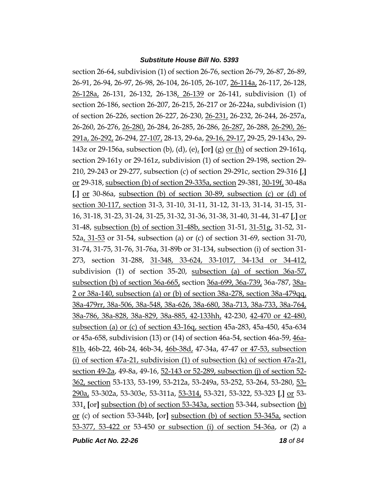section 26-64, subdivision (1) of section 26-76, section 26-79, 26-87, 26-89, 26-91, 26-94, 26-97, 26-98, 26-104, 26-105, 26-107, 26-114a, 26-117, 26-128, 26-128a, 26-131, 26-132, 26-138, 26-139 or 26-141, subdivision (1) of section 26-186, section 26-207, 26-215, 26-217 or 26-224a, subdivision (1) of section 26-226, section 26-227, 26-230, 26-231, 26-232, 26-244, 26-257a, 26-260, 26-276, 26-280, 26-284, 26-285, 26-286, 26-287, 26-288, 26-290, 26- 291a, 26-292, 26-294, 27-107, 28-13, 29-6a, 29-16, 29-17, 29-25, 29-143o, 29- 143z or 29-156a, subsection (b), (d), (e), **[**or**]** (g) or (h) of section 29-161q, section 29-161y or 29-161z, subdivision (1) of section 29-198, section 29- 210, 29-243 or 29-277, subsection (c) of section 29-291c, section 29-316 **[**,**]** or 29-318, subsection (b) of section 29-335a, section 29-381, 30-19f, 30-48a **[**,**]** or 30-86a, subsection (b) of section 30-89, subsection (c) or (d) of section 30-117, section 31-3, 31-10, 31-11, 31-12, 31-13, 31-14, 31-15, 31- 16, 31-18, 31-23, 31-24, 31-25, 31-32, 31-36, 31-38, 31-40, 31-44, 31-47 **[**,**]** or 31-48, subsection (b) of section 31-48b, section 31-51, 31-51g, 31-52, 31- 52a, 31-53 or 31-54, subsection (a) or (c) of section 31-69, section 31-70, 31-74, 31-75, 31-76, 31-76a, 31-89b or 31-134, subsection (i) of section 31- 273, section 31-288, 31-348, 33-624, 33-1017, 34-13d or 34-412, subdivision (1) of section 35-20, subsection (a) of section 36a-57, subsection (b) of section 36a-665, section 36a-699, 36a-739, 36a-787, 38a-2 or 38a-140, subsection (a) or (b) of section 38a-278, section 38a-479qq, 38a-479rr, 38a-506, 38a-548, 38a-626, 38a-680, 38a-713, 38a-733, 38a-764, 38a-786, 38a-828, 38a-829, 38a-885, 42-133hh, 42-230, 42-470 or 42-480, subsection (a) or (c) of section 43-16q, section 45a-283, 45a-450, 45a-634 or 45a-658, subdivision (13) or (14) of section 46a-54, section 46a-59, 46a-81b, 46b-22, 46b-24, 46b-34, 46b-38d, 47-34a, 47-47 or 47-53, subsection (i) of section 47a-21, subdivision (1) of subsection (k) of section 47a-21, section 49-2a, 49-8a, 49-16, 52-143 or 52-289, subsection (j) of section 52-362, section 53-133, 53-199, 53-212a, 53-249a, 53-252, 53-264, 53-280, 53- 290a, 53-302a, 53-303e, 53-311a, 53-314, 53-321, 53-322, 53-323 **[**,**]** or 53- 331, **[**or**]** subsection (b) of section 53-343a, section 53-344, subsection (b) or (c) of section 53-344b, **[**or**]** subsection (b) of section 53-345a, section 53-377, 53-422 or 53-450 or subsection (i) of section 54-36a, or (2) a

*Public Act No. 22-26 18 of 84*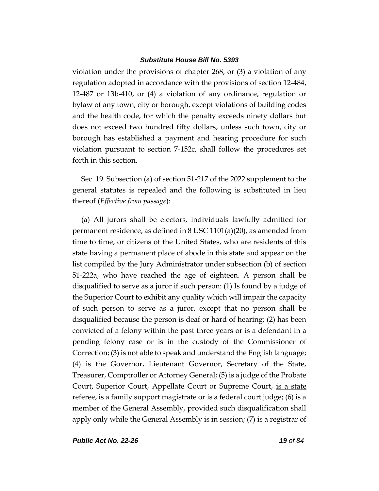violation under the provisions of chapter 268, or (3) a violation of any regulation adopted in accordance with the provisions of section 12-484, 12-487 or 13b-410, or (4) a violation of any ordinance, regulation or bylaw of any town, city or borough, except violations of building codes and the health code, for which the penalty exceeds ninety dollars but does not exceed two hundred fifty dollars, unless such town, city or borough has established a payment and hearing procedure for such violation pursuant to section 7-152c, shall follow the procedures set forth in this section.

Sec. 19. Subsection (a) of section 51-217 of the 2022 supplement to the general statutes is repealed and the following is substituted in lieu thereof (*Effective from passage*):

(a) All jurors shall be electors, individuals lawfully admitted for permanent residence, as defined in 8 USC 1101(a)(20), as amended from time to time, or citizens of the United States, who are residents of this state having a permanent place of abode in this state and appear on the list compiled by the Jury Administrator under subsection (b) of section 51-222a, who have reached the age of eighteen. A person shall be disqualified to serve as a juror if such person: (1) Is found by a judge of the Superior Court to exhibit any quality which will impair the capacity of such person to serve as a juror, except that no person shall be disqualified because the person is deaf or hard of hearing; (2) has been convicted of a felony within the past three years or is a defendant in a pending felony case or is in the custody of the Commissioner of Correction; (3) is not able to speak and understand the English language; (4) is the Governor, Lieutenant Governor, Secretary of the State, Treasurer, Comptroller or Attorney General; (5) is a judge of the Probate Court, Superior Court, Appellate Court or Supreme Court, is a state referee, is a family support magistrate or is a federal court judge; (6) is a member of the General Assembly, provided such disqualification shall apply only while the General Assembly is in session; (7) is a registrar of

*Public Act No. 22-26 19 of 84*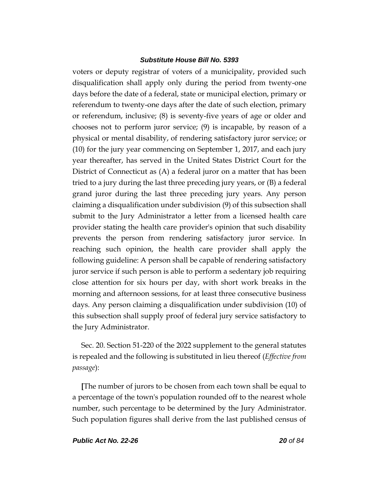voters or deputy registrar of voters of a municipality, provided such disqualification shall apply only during the period from twenty-one days before the date of a federal, state or municipal election, primary or referendum to twenty-one days after the date of such election, primary or referendum, inclusive; (8) is seventy-five years of age or older and chooses not to perform juror service; (9) is incapable, by reason of a physical or mental disability, of rendering satisfactory juror service; or (10) for the jury year commencing on September 1, 2017, and each jury year thereafter, has served in the United States District Court for the District of Connecticut as (A) a federal juror on a matter that has been tried to a jury during the last three preceding jury years, or (B) a federal grand juror during the last three preceding jury years. Any person claiming a disqualification under subdivision (9) of this subsection shall submit to the Jury Administrator a letter from a licensed health care provider stating the health care provider's opinion that such disability prevents the person from rendering satisfactory juror service. In reaching such opinion, the health care provider shall apply the following guideline: A person shall be capable of rendering satisfactory juror service if such person is able to perform a sedentary job requiring close attention for six hours per day, with short work breaks in the morning and afternoon sessions, for at least three consecutive business days. Any person claiming a disqualification under subdivision (10) of this subsection shall supply proof of federal jury service satisfactory to the Jury Administrator.

Sec. 20. Section 51-220 of the 2022 supplement to the general statutes is repealed and the following is substituted in lieu thereof (*Effective from passage*):

**[**The number of jurors to be chosen from each town shall be equal to a percentage of the town's population rounded off to the nearest whole number, such percentage to be determined by the Jury Administrator. Such population figures shall derive from the last published census of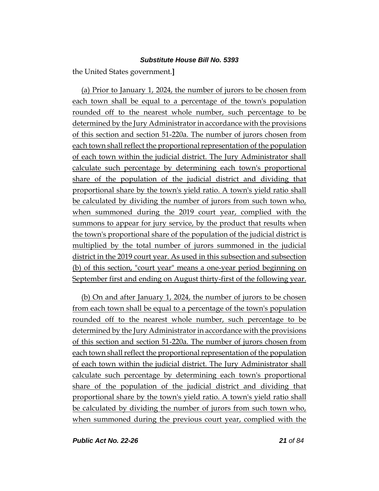the United States government.**]**

(a) Prior to January 1, 2024, the number of jurors to be chosen from each town shall be equal to a percentage of the town's population rounded off to the nearest whole number, such percentage to be determined by the Jury Administrator in accordance with the provisions of this section and section 51-220a. The number of jurors chosen from each town shall reflect the proportional representation of the population of each town within the judicial district. The Jury Administrator shall calculate such percentage by determining each town's proportional share of the population of the judicial district and dividing that proportional share by the town's yield ratio. A town's yield ratio shall be calculated by dividing the number of jurors from such town who, when summoned during the 2019 court year, complied with the summons to appear for jury service, by the product that results when the town's proportional share of the population of the judicial district is multiplied by the total number of jurors summoned in the judicial district in the 2019 court year. As used in this subsection and subsection (b) of this section, "court year" means a one-year period beginning on September first and ending on August thirty-first of the following year.

(b) On and after January 1, 2024, the number of jurors to be chosen from each town shall be equal to a percentage of the town's population rounded off to the nearest whole number, such percentage to be determined by the Jury Administrator in accordance with the provisions of this section and section 51-220a. The number of jurors chosen from each town shall reflect the proportional representation of the population of each town within the judicial district. The Jury Administrator shall calculate such percentage by determining each town's proportional share of the population of the judicial district and dividing that proportional share by the town's yield ratio. A town's yield ratio shall be calculated by dividing the number of jurors from such town who, when summoned during the previous court year, complied with the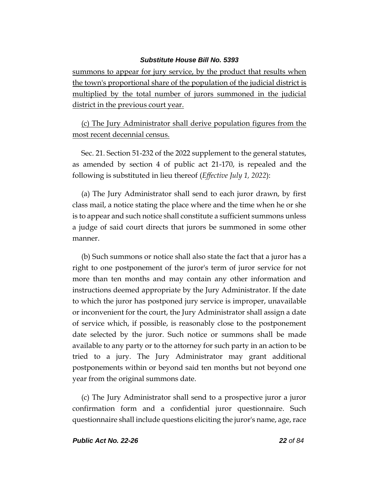summons to appear for jury service, by the product that results when the town's proportional share of the population of the judicial district is multiplied by the total number of jurors summoned in the judicial district in the previous court year.

(c) The Jury Administrator shall derive population figures from the most recent decennial census.

Sec. 21. Section 51-232 of the 2022 supplement to the general statutes, as amended by section 4 of public act 21-170, is repealed and the following is substituted in lieu thereof (*Effective July 1, 2022*):

(a) The Jury Administrator shall send to each juror drawn, by first class mail, a notice stating the place where and the time when he or she is to appear and such notice shall constitute a sufficient summons unless a judge of said court directs that jurors be summoned in some other manner.

(b) Such summons or notice shall also state the fact that a juror has a right to one postponement of the juror's term of juror service for not more than ten months and may contain any other information and instructions deemed appropriate by the Jury Administrator. If the date to which the juror has postponed jury service is improper, unavailable or inconvenient for the court, the Jury Administrator shall assign a date of service which, if possible, is reasonably close to the postponement date selected by the juror. Such notice or summons shall be made available to any party or to the attorney for such party in an action to be tried to a jury. The Jury Administrator may grant additional postponements within or beyond said ten months but not beyond one year from the original summons date.

(c) The Jury Administrator shall send to a prospective juror a juror confirmation form and a confidential juror questionnaire. Such questionnaire shall include questions eliciting the juror's name, age, race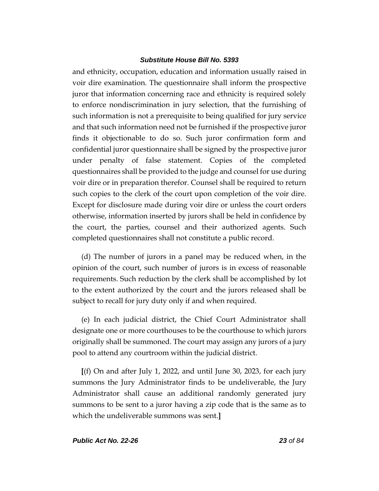and ethnicity, occupation, education and information usually raised in voir dire examination. The questionnaire shall inform the prospective juror that information concerning race and ethnicity is required solely to enforce nondiscrimination in jury selection, that the furnishing of such information is not a prerequisite to being qualified for jury service and that such information need not be furnished if the prospective juror finds it objectionable to do so. Such juror confirmation form and confidential juror questionnaire shall be signed by the prospective juror under penalty of false statement. Copies of the completed questionnaires shall be provided to the judge and counsel for use during voir dire or in preparation therefor. Counsel shall be required to return such copies to the clerk of the court upon completion of the voir dire. Except for disclosure made during voir dire or unless the court orders otherwise, information inserted by jurors shall be held in confidence by the court, the parties, counsel and their authorized agents. Such completed questionnaires shall not constitute a public record.

(d) The number of jurors in a panel may be reduced when, in the opinion of the court, such number of jurors is in excess of reasonable requirements. Such reduction by the clerk shall be accomplished by lot to the extent authorized by the court and the jurors released shall be subject to recall for jury duty only if and when required.

(e) In each judicial district, the Chief Court Administrator shall designate one or more courthouses to be the courthouse to which jurors originally shall be summoned. The court may assign any jurors of a jury pool to attend any courtroom within the judicial district.

**[**(f) On and after July 1, 2022, and until June 30, 2023, for each jury summons the Jury Administrator finds to be undeliverable, the Jury Administrator shall cause an additional randomly generated jury summons to be sent to a juror having a zip code that is the same as to which the undeliverable summons was sent.**]**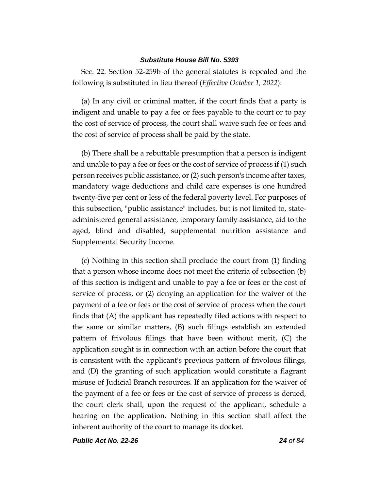Sec. 22. Section 52-259b of the general statutes is repealed and the following is substituted in lieu thereof (*Effective October 1, 2022*):

(a) In any civil or criminal matter, if the court finds that a party is indigent and unable to pay a fee or fees payable to the court or to pay the cost of service of process, the court shall waive such fee or fees and the cost of service of process shall be paid by the state.

(b) There shall be a rebuttable presumption that a person is indigent and unable to pay a fee or fees or the cost of service of process if (1) such person receives public assistance, or (2) such person's income after taxes, mandatory wage deductions and child care expenses is one hundred twenty-five per cent or less of the federal poverty level. For purposes of this subsection, "public assistance" includes, but is not limited to, stateadministered general assistance, temporary family assistance, aid to the aged, blind and disabled, supplemental nutrition assistance and Supplemental Security Income.

(c) Nothing in this section shall preclude the court from (1) finding that a person whose income does not meet the criteria of subsection (b) of this section is indigent and unable to pay a fee or fees or the cost of service of process, or (2) denying an application for the waiver of the payment of a fee or fees or the cost of service of process when the court finds that (A) the applicant has repeatedly filed actions with respect to the same or similar matters, (B) such filings establish an extended pattern of frivolous filings that have been without merit, (C) the application sought is in connection with an action before the court that is consistent with the applicant's previous pattern of frivolous filings, and (D) the granting of such application would constitute a flagrant misuse of Judicial Branch resources. If an application for the waiver of the payment of a fee or fees or the cost of service of process is denied, the court clerk shall, upon the request of the applicant, schedule a hearing on the application. Nothing in this section shall affect the inherent authority of the court to manage its docket.

*Public Act No. 22-26 24 of 84*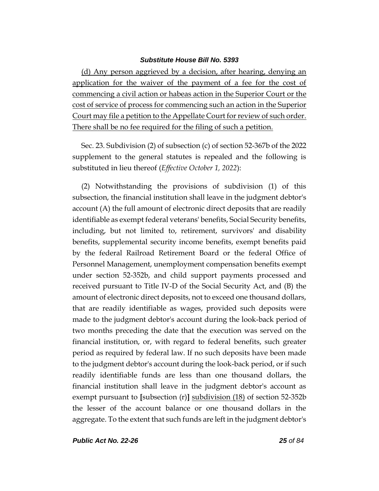(d) Any person aggrieved by a decision, after hearing, denying an application for the waiver of the payment of a fee for the cost of commencing a civil action or habeas action in the Superior Court or the cost of service of process for commencing such an action in the Superior Court may file a petition to the Appellate Court for review of such order. There shall be no fee required for the filing of such a petition.

Sec. 23. Subdivision (2) of subsection (c) of section 52-367b of the 2022 supplement to the general statutes is repealed and the following is substituted in lieu thereof (*Effective October 1, 2022*):

(2) Notwithstanding the provisions of subdivision (1) of this subsection, the financial institution shall leave in the judgment debtor's account (A) the full amount of electronic direct deposits that are readily identifiable as exempt federal veterans' benefits, Social Security benefits, including, but not limited to, retirement, survivors' and disability benefits, supplemental security income benefits, exempt benefits paid by the federal Railroad Retirement Board or the federal Office of Personnel Management, unemployment compensation benefits exempt under section 52-352b, and child support payments processed and received pursuant to Title IV-D of the Social Security Act, and (B) the amount of electronic direct deposits, not to exceed one thousand dollars, that are readily identifiable as wages, provided such deposits were made to the judgment debtor's account during the look-back period of two months preceding the date that the execution was served on the financial institution, or, with regard to federal benefits, such greater period as required by federal law. If no such deposits have been made to the judgment debtor's account during the look-back period, or if such readily identifiable funds are less than one thousand dollars, the financial institution shall leave in the judgment debtor's account as exempt pursuant to **[**subsection (r)**]** subdivision (18) of section 52-352b the lesser of the account balance or one thousand dollars in the aggregate. To the extent that such funds are left in the judgment debtor's

*Public Act No. 22-26 25 of 84*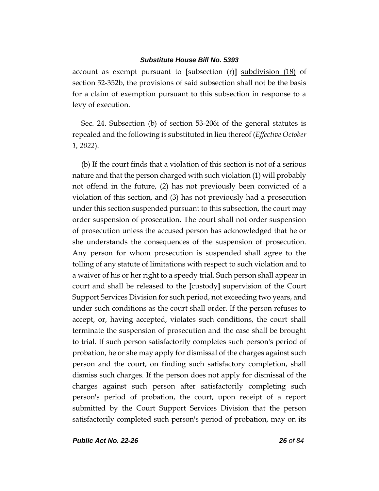account as exempt pursuant to **[**subsection (r)**]** subdivision (18) of section 52-352b, the provisions of said subsection shall not be the basis for a claim of exemption pursuant to this subsection in response to a levy of execution.

Sec. 24. Subsection (b) of section 53-206i of the general statutes is repealed and the following is substituted in lieu thereof (*Effective October 1, 2022*):

(b) If the court finds that a violation of this section is not of a serious nature and that the person charged with such violation (1) will probably not offend in the future, (2) has not previously been convicted of a violation of this section, and (3) has not previously had a prosecution under this section suspended pursuant to this subsection, the court may order suspension of prosecution. The court shall not order suspension of prosecution unless the accused person has acknowledged that he or she understands the consequences of the suspension of prosecution. Any person for whom prosecution is suspended shall agree to the tolling of any statute of limitations with respect to such violation and to a waiver of his or her right to a speedy trial. Such person shall appear in court and shall be released to the **[**custody**]** supervision of the Court Support Services Division for such period, not exceeding two years, and under such conditions as the court shall order. If the person refuses to accept, or, having accepted, violates such conditions, the court shall terminate the suspension of prosecution and the case shall be brought to trial. If such person satisfactorily completes such person's period of probation, he or she may apply for dismissal of the charges against such person and the court, on finding such satisfactory completion, shall dismiss such charges. If the person does not apply for dismissal of the charges against such person after satisfactorily completing such person's period of probation, the court, upon receipt of a report submitted by the Court Support Services Division that the person satisfactorily completed such person's period of probation, may on its

*Public Act No. 22-26 26 of 84*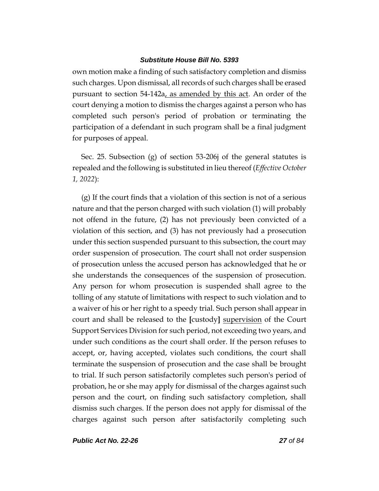own motion make a finding of such satisfactory completion and dismiss such charges. Upon dismissal, all records of such charges shall be erased pursuant to section 54-142a, as amended by this act. An order of the court denying a motion to dismiss the charges against a person who has completed such person's period of probation or terminating the participation of a defendant in such program shall be a final judgment for purposes of appeal.

Sec. 25. Subsection (g) of section 53-206j of the general statutes is repealed and the following is substituted in lieu thereof (*Effective October 1, 2022*):

(g) If the court finds that a violation of this section is not of a serious nature and that the person charged with such violation (1) will probably not offend in the future, (2) has not previously been convicted of a violation of this section, and (3) has not previously had a prosecution under this section suspended pursuant to this subsection, the court may order suspension of prosecution. The court shall not order suspension of prosecution unless the accused person has acknowledged that he or she understands the consequences of the suspension of prosecution. Any person for whom prosecution is suspended shall agree to the tolling of any statute of limitations with respect to such violation and to a waiver of his or her right to a speedy trial. Such person shall appear in court and shall be released to the **[**custody**]** supervision of the Court Support Services Division for such period, not exceeding two years, and under such conditions as the court shall order. If the person refuses to accept, or, having accepted, violates such conditions, the court shall terminate the suspension of prosecution and the case shall be brought to trial. If such person satisfactorily completes such person's period of probation, he or she may apply for dismissal of the charges against such person and the court, on finding such satisfactory completion, shall dismiss such charges. If the person does not apply for dismissal of the charges against such person after satisfactorily completing such

*Public Act No. 22-26 27 of 84*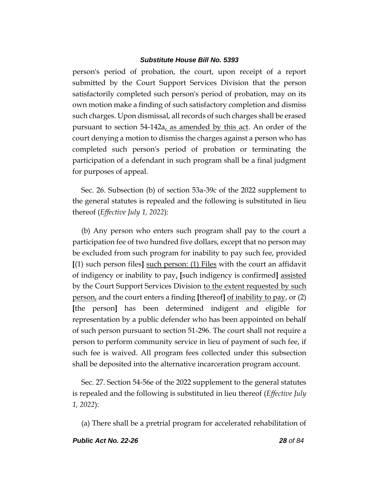person's period of probation, the court, upon receipt of a report submitted by the Court Support Services Division that the person satisfactorily completed such person's period of probation, may on its own motion make a finding of such satisfactory completion and dismiss such charges. Upon dismissal, all records of such charges shall be erased pursuant to section 54-142a, as amended by this act. An order of the court denying a motion to dismiss the charges against a person who has completed such person's period of probation or terminating the participation of a defendant in such program shall be a final judgment for purposes of appeal.

Sec. 26. Subsection (b) of section 53a-39c of the 2022 supplement to the general statutes is repealed and the following is substituted in lieu thereof (*Effective July 1, 2022*):

(b) Any person who enters such program shall pay to the court a participation fee of two hundred five dollars, except that no person may be excluded from such program for inability to pay such fee, provided **[**(1) such person files**]** such person: (1) Files with the court an affidavit of indigency or inability to pay, **[**such indigency is confirmed**]** assisted by the Court Support Services Division to the extent requested by such person, and the court enters a finding **[**thereof**]** of inability to pay, or (2) **[**the person**]** has been determined indigent and eligible for representation by a public defender who has been appointed on behalf of such person pursuant to section 51-296. The court shall not require a person to perform community service in lieu of payment of such fee, if such fee is waived. All program fees collected under this subsection shall be deposited into the alternative incarceration program account.

Sec. 27. Section 54-56e of the 2022 supplement to the general statutes is repealed and the following is substituted in lieu thereof (*Effective July 1, 2022*):

(a) There shall be a pretrial program for accelerated rehabilitation of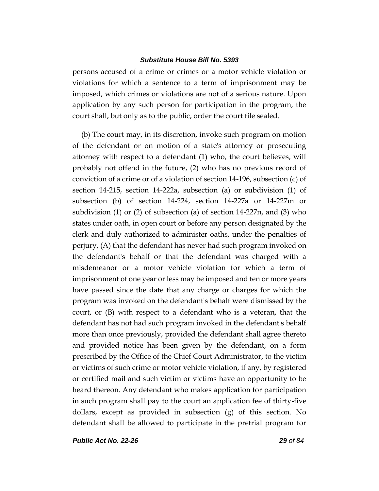persons accused of a crime or crimes or a motor vehicle violation or violations for which a sentence to a term of imprisonment may be imposed, which crimes or violations are not of a serious nature. Upon application by any such person for participation in the program, the court shall, but only as to the public, order the court file sealed.

(b) The court may, in its discretion, invoke such program on motion of the defendant or on motion of a state's attorney or prosecuting attorney with respect to a defendant (1) who, the court believes, will probably not offend in the future, (2) who has no previous record of conviction of a crime or of a violation of section 14-196, subsection (c) of section 14-215, section 14-222a, subsection (a) or subdivision (1) of subsection (b) of section 14-224, section 14-227a or 14-227m or subdivision (1) or (2) of subsection (a) of section 14-227n, and (3) who states under oath, in open court or before any person designated by the clerk and duly authorized to administer oaths, under the penalties of perjury, (A) that the defendant has never had such program invoked on the defendant's behalf or that the defendant was charged with a misdemeanor or a motor vehicle violation for which a term of imprisonment of one year or less may be imposed and ten or more years have passed since the date that any charge or charges for which the program was invoked on the defendant's behalf were dismissed by the court, or (B) with respect to a defendant who is a veteran, that the defendant has not had such program invoked in the defendant's behalf more than once previously, provided the defendant shall agree thereto and provided notice has been given by the defendant, on a form prescribed by the Office of the Chief Court Administrator, to the victim or victims of such crime or motor vehicle violation, if any, by registered or certified mail and such victim or victims have an opportunity to be heard thereon. Any defendant who makes application for participation in such program shall pay to the court an application fee of thirty-five dollars, except as provided in subsection (g) of this section. No defendant shall be allowed to participate in the pretrial program for

*Public Act No. 22-26 29 of 84*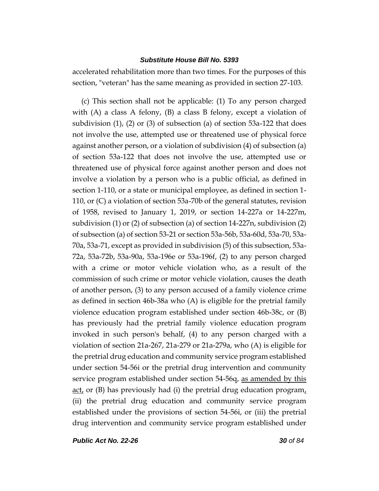accelerated rehabilitation more than two times. For the purposes of this section, "veteran" has the same meaning as provided in section 27-103.

(c) This section shall not be applicable: (1) To any person charged with  $(A)$  a class A felony,  $(B)$  a class B felony, except a violation of subdivision  $(1)$ ,  $(2)$  or  $(3)$  of subsection  $(a)$  of section 53a-122 that does not involve the use, attempted use or threatened use of physical force against another person, or a violation of subdivision (4) of subsection (a) of section 53a-122 that does not involve the use, attempted use or threatened use of physical force against another person and does not involve a violation by a person who is a public official, as defined in section 1-110, or a state or municipal employee, as defined in section 1- 110, or (C) a violation of section 53a-70b of the general statutes, revision of 1958, revised to January 1, 2019, or section 14-227a or 14-227m, subdivision (1) or (2) of subsection (a) of section 14-227n, subdivision (2) of subsection (a) of section 53-21 or section 53a-56b, 53a-60d, 53a-70, 53a-70a, 53a-71, except as provided in subdivision (5) of this subsection, 53a-72a, 53a-72b, 53a-90a, 53a-196e or 53a-196f, (2) to any person charged with a crime or motor vehicle violation who, as a result of the commission of such crime or motor vehicle violation, causes the death of another person, (3) to any person accused of a family violence crime as defined in section 46b-38a who (A) is eligible for the pretrial family violence education program established under section 46b-38c, or (B) has previously had the pretrial family violence education program invoked in such person's behalf, (4) to any person charged with a violation of section 21a-267, 21a-279 or 21a-279a, who (A) is eligible for the pretrial drug education and community service program established under section 54-56i or the pretrial drug intervention and community service program established under section 54-56q, as amended by this <u>act</u>, or (B) has previously had (i) the pretrial drug education program, (ii) the pretrial drug education and community service program established under the provisions of section 54-56i, or (iii) the pretrial drug intervention and community service program established under

*Public Act No. 22-26 30 of 84*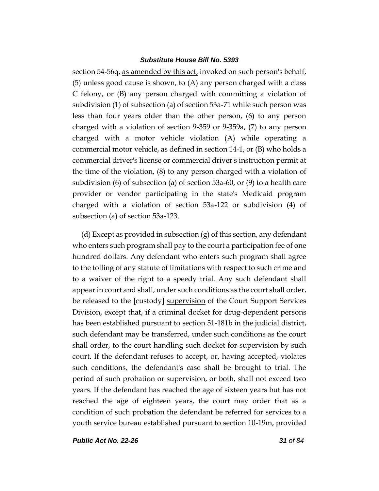section 54-56q, as amended by this act, invoked on such person's behalf, (5) unless good cause is shown, to (A) any person charged with a class C felony, or (B) any person charged with committing a violation of subdivision (1) of subsection (a) of section 53a-71 while such person was less than four years older than the other person, (6) to any person charged with a violation of section 9-359 or 9-359a, (7) to any person charged with a motor vehicle violation (A) while operating a commercial motor vehicle, as defined in section 14-1, or (B) who holds a commercial driver's license or commercial driver's instruction permit at the time of the violation, (8) to any person charged with a violation of subdivision (6) of subsection (a) of section 53a-60, or (9) to a health care provider or vendor participating in the state's Medicaid program charged with a violation of section 53a-122 or subdivision (4) of subsection (a) of section 53a-123.

(d) Except as provided in subsection (g) of this section, any defendant who enters such program shall pay to the court a participation fee of one hundred dollars. Any defendant who enters such program shall agree to the tolling of any statute of limitations with respect to such crime and to a waiver of the right to a speedy trial. Any such defendant shall appear in court and shall, under such conditions as the court shall order, be released to the **[**custody**]** supervision of the Court Support Services Division, except that, if a criminal docket for drug-dependent persons has been established pursuant to section 51-181b in the judicial district, such defendant may be transferred, under such conditions as the court shall order, to the court handling such docket for supervision by such court. If the defendant refuses to accept, or, having accepted, violates such conditions, the defendant's case shall be brought to trial. The period of such probation or supervision, or both, shall not exceed two years. If the defendant has reached the age of sixteen years but has not reached the age of eighteen years, the court may order that as a condition of such probation the defendant be referred for services to a youth service bureau established pursuant to section 10-19m, provided

*Public Act No. 22-26 31 of 84*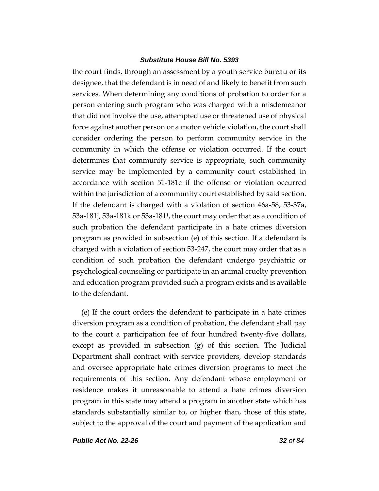the court finds, through an assessment by a youth service bureau or its designee, that the defendant is in need of and likely to benefit from such services. When determining any conditions of probation to order for a person entering such program who was charged with a misdemeanor that did not involve the use, attempted use or threatened use of physical force against another person or a motor vehicle violation, the court shall consider ordering the person to perform community service in the community in which the offense or violation occurred. If the court determines that community service is appropriate, such community service may be implemented by a community court established in accordance with section 51-181c if the offense or violation occurred within the jurisdiction of a community court established by said section. If the defendant is charged with a violation of section 46a-58, 53-37a, 53a-181j, 53a-181k or 53a-181*l*, the court may order that as a condition of such probation the defendant participate in a hate crimes diversion program as provided in subsection (e) of this section. If a defendant is charged with a violation of section 53-247, the court may order that as a condition of such probation the defendant undergo psychiatric or psychological counseling or participate in an animal cruelty prevention and education program provided such a program exists and is available to the defendant.

(e) If the court orders the defendant to participate in a hate crimes diversion program as a condition of probation, the defendant shall pay to the court a participation fee of four hundred twenty-five dollars, except as provided in subsection (g) of this section. The Judicial Department shall contract with service providers, develop standards and oversee appropriate hate crimes diversion programs to meet the requirements of this section. Any defendant whose employment or residence makes it unreasonable to attend a hate crimes diversion program in this state may attend a program in another state which has standards substantially similar to, or higher than, those of this state, subject to the approval of the court and payment of the application and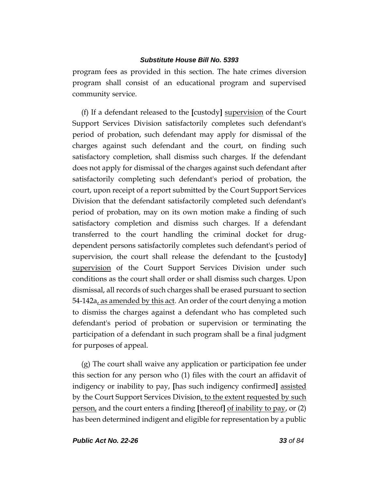program fees as provided in this section. The hate crimes diversion program shall consist of an educational program and supervised community service.

(f) If a defendant released to the **[**custody**]** supervision of the Court Support Services Division satisfactorily completes such defendant's period of probation, such defendant may apply for dismissal of the charges against such defendant and the court, on finding such satisfactory completion, shall dismiss such charges. If the defendant does not apply for dismissal of the charges against such defendant after satisfactorily completing such defendant's period of probation, the court, upon receipt of a report submitted by the Court Support Services Division that the defendant satisfactorily completed such defendant's period of probation, may on its own motion make a finding of such satisfactory completion and dismiss such charges. If a defendant transferred to the court handling the criminal docket for drugdependent persons satisfactorily completes such defendant's period of supervision, the court shall release the defendant to the **[**custody**]** supervision of the Court Support Services Division under such conditions as the court shall order or shall dismiss such charges. Upon dismissal, all records of such charges shall be erased pursuant to section 54-142a, as amended by this act. An order of the court denying a motion to dismiss the charges against a defendant who has completed such defendant's period of probation or supervision or terminating the participation of a defendant in such program shall be a final judgment for purposes of appeal.

(g) The court shall waive any application or participation fee under this section for any person who (1) files with the court an affidavit of indigency or inability to pay, **[**has such indigency confirmed**]** assisted by the Court Support Services Division, to the extent requested by such person, and the court enters a finding **[**thereof**]** of inability to pay, or (2) has been determined indigent and eligible for representation by a public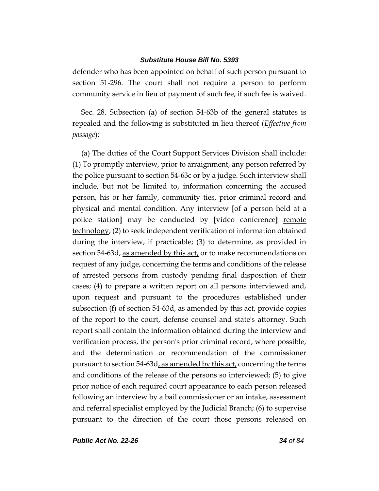defender who has been appointed on behalf of such person pursuant to section 51-296. The court shall not require a person to perform community service in lieu of payment of such fee, if such fee is waived.

Sec. 28. Subsection (a) of section 54-63b of the general statutes is repealed and the following is substituted in lieu thereof (*Effective from passage*):

(a) The duties of the Court Support Services Division shall include: (1) To promptly interview, prior to arraignment, any person referred by the police pursuant to section 54-63c or by a judge. Such interview shall include, but not be limited to, information concerning the accused person, his or her family, community ties, prior criminal record and physical and mental condition. Any interview **[**of a person held at a police station**]** may be conducted by **[**video conference**]** remote technology; (2) to seek independent verification of information obtained during the interview, if practicable; (3) to determine, as provided in section 54-63d, as amended by this act, or to make recommendations on request of any judge, concerning the terms and conditions of the release of arrested persons from custody pending final disposition of their cases; (4) to prepare a written report on all persons interviewed and, upon request and pursuant to the procedures established under subsection (f) of section 54-63d, as amended by this act, provide copies of the report to the court, defense counsel and state's attorney. Such report shall contain the information obtained during the interview and verification process, the person's prior criminal record, where possible, and the determination or recommendation of the commissioner pursuant to section 54-63d, as amended by this act, concerning the terms and conditions of the release of the persons so interviewed; (5) to give prior notice of each required court appearance to each person released following an interview by a bail commissioner or an intake, assessment and referral specialist employed by the Judicial Branch; (6) to supervise pursuant to the direction of the court those persons released on

*Public Act No. 22-26 34 of 84*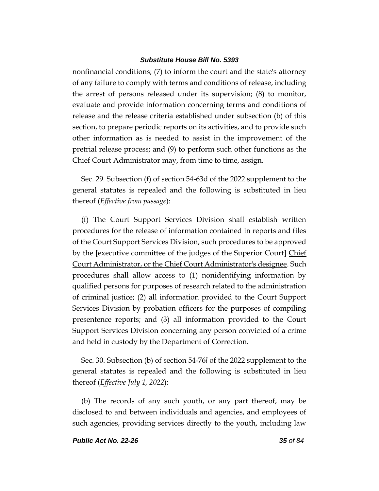nonfinancial conditions; (7) to inform the court and the state's attorney of any failure to comply with terms and conditions of release, including the arrest of persons released under its supervision; (8) to monitor, evaluate and provide information concerning terms and conditions of release and the release criteria established under subsection (b) of this section, to prepare periodic reports on its activities, and to provide such other information as is needed to assist in the improvement of the pretrial release process; and (9) to perform such other functions as the Chief Court Administrator may, from time to time, assign.

Sec. 29. Subsection (f) of section 54-63d of the 2022 supplement to the general statutes is repealed and the following is substituted in lieu thereof (*Effective from passage*):

(f) The Court Support Services Division shall establish written procedures for the release of information contained in reports and files of the Court Support Services Division, such procedures to be approved by the **[**executive committee of the judges of the Superior Court**]** Chief Court Administrator, or the Chief Court Administrator's designee. Such procedures shall allow access to (1) nonidentifying information by qualified persons for purposes of research related to the administration of criminal justice; (2) all information provided to the Court Support Services Division by probation officers for the purposes of compiling presentence reports; and (3) all information provided to the Court Support Services Division concerning any person convicted of a crime and held in custody by the Department of Correction.

Sec. 30. Subsection (b) of section 54-76*l* of the 2022 supplement to the general statutes is repealed and the following is substituted in lieu thereof (*Effective July 1, 2022*):

(b) The records of any such youth, or any part thereof, may be disclosed to and between individuals and agencies, and employees of such agencies, providing services directly to the youth, including law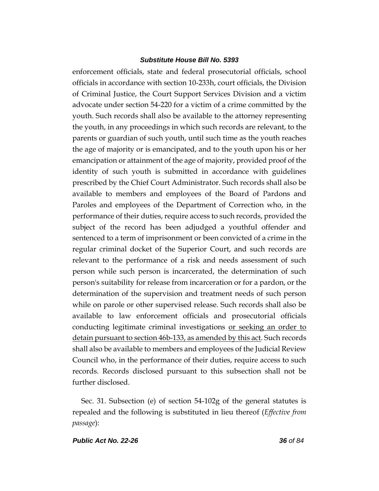enforcement officials, state and federal prosecutorial officials, school officials in accordance with section 10-233h, court officials, the Division of Criminal Justice, the Court Support Services Division and a victim advocate under section 54-220 for a victim of a crime committed by the youth. Such records shall also be available to the attorney representing the youth, in any proceedings in which such records are relevant, to the parents or guardian of such youth, until such time as the youth reaches the age of majority or is emancipated, and to the youth upon his or her emancipation or attainment of the age of majority, provided proof of the identity of such youth is submitted in accordance with guidelines prescribed by the Chief Court Administrator. Such records shall also be available to members and employees of the Board of Pardons and Paroles and employees of the Department of Correction who, in the performance of their duties, require access to such records, provided the subject of the record has been adjudged a youthful offender and sentenced to a term of imprisonment or been convicted of a crime in the regular criminal docket of the Superior Court, and such records are relevant to the performance of a risk and needs assessment of such person while such person is incarcerated, the determination of such person's suitability for release from incarceration or for a pardon, or the determination of the supervision and treatment needs of such person while on parole or other supervised release. Such records shall also be available to law enforcement officials and prosecutorial officials conducting legitimate criminal investigations or seeking an order to detain pursuant to section 46b-133, as amended by this act. Such records shall also be available to members and employees of the Judicial Review Council who, in the performance of their duties, require access to such records. Records disclosed pursuant to this subsection shall not be further disclosed.

Sec. 31. Subsection (e) of section 54-102g of the general statutes is repealed and the following is substituted in lieu thereof (*Effective from passage*):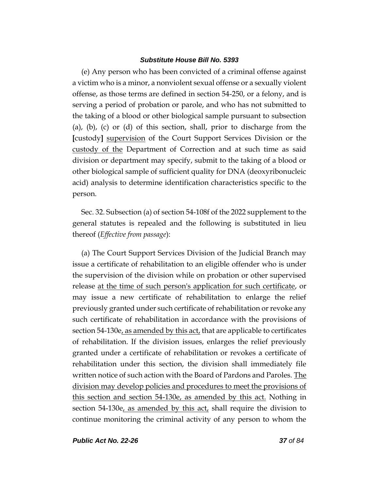(e) Any person who has been convicted of a criminal offense against a victim who is a minor, a nonviolent sexual offense or a sexually violent offense, as those terms are defined in section 54-250, or a felony, and is serving a period of probation or parole, and who has not submitted to the taking of a blood or other biological sample pursuant to subsection (a), (b), (c) or (d) of this section, shall, prior to discharge from the **[**custody**]** supervision of the Court Support Services Division or the custody of the Department of Correction and at such time as said division or department may specify, submit to the taking of a blood or other biological sample of sufficient quality for DNA (deoxyribonucleic acid) analysis to determine identification characteristics specific to the person.

Sec. 32. Subsection (a) of section 54-108f of the 2022 supplement to the general statutes is repealed and the following is substituted in lieu thereof (*Effective from passage*):

(a) The Court Support Services Division of the Judicial Branch may issue a certificate of rehabilitation to an eligible offender who is under the supervision of the division while on probation or other supervised release at the time of such person's application for such certificate, or may issue a new certificate of rehabilitation to enlarge the relief previously granted under such certificate of rehabilitation or revoke any such certificate of rehabilitation in accordance with the provisions of section 54-130e, as amended by this act, that are applicable to certificates of rehabilitation. If the division issues, enlarges the relief previously granted under a certificate of rehabilitation or revokes a certificate of rehabilitation under this section, the division shall immediately file written notice of such action with the Board of Pardons and Paroles. The division may develop policies and procedures to meet the provisions of this section and section 54-130e, as amended by this act. Nothing in section 54-130e, as amended by this act, shall require the division to continue monitoring the criminal activity of any person to whom the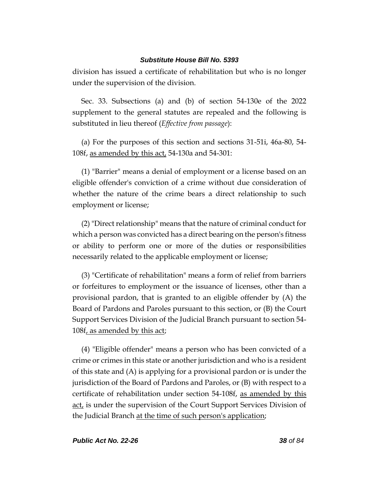division has issued a certificate of rehabilitation but who is no longer under the supervision of the division.

Sec. 33. Subsections (a) and (b) of section 54-130e of the 2022 supplement to the general statutes are repealed and the following is substituted in lieu thereof (*Effective from passage*):

(a) For the purposes of this section and sections 31-51i, 46a-80, 54- 108f, as amended by this act, 54-130a and 54-301:

(1) "Barrier" means a denial of employment or a license based on an eligible offender's conviction of a crime without due consideration of whether the nature of the crime bears a direct relationship to such employment or license;

(2) "Direct relationship" means that the nature of criminal conduct for which a person was convicted has a direct bearing on the person's fitness or ability to perform one or more of the duties or responsibilities necessarily related to the applicable employment or license;

(3) "Certificate of rehabilitation" means a form of relief from barriers or forfeitures to employment or the issuance of licenses, other than a provisional pardon, that is granted to an eligible offender by (A) the Board of Pardons and Paroles pursuant to this section, or (B) the Court Support Services Division of the Judicial Branch pursuant to section 54- 108f, as amended by this act;

(4) "Eligible offender" means a person who has been convicted of a crime or crimes in this state or another jurisdiction and who is a resident of this state and (A) is applying for a provisional pardon or is under the jurisdiction of the Board of Pardons and Paroles, or (B) with respect to a certificate of rehabilitation under section 54-108f, as amended by this act, is under the supervision of the Court Support Services Division of the Judicial Branch at the time of such person's application;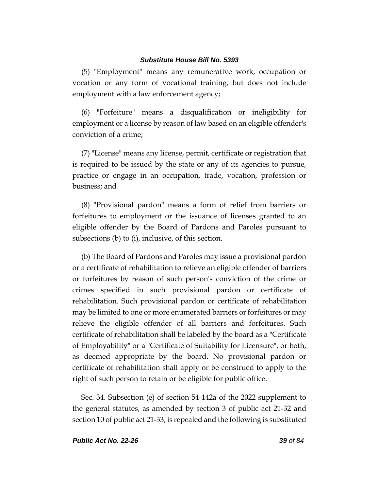(5) "Employment" means any remunerative work, occupation or vocation or any form of vocational training, but does not include employment with a law enforcement agency;

(6) "Forfeiture" means a disqualification or ineligibility for employment or a license by reason of law based on an eligible offender's conviction of a crime;

(7) "License" means any license, permit, certificate or registration that is required to be issued by the state or any of its agencies to pursue, practice or engage in an occupation, trade, vocation, profession or business; and

(8) "Provisional pardon" means a form of relief from barriers or forfeitures to employment or the issuance of licenses granted to an eligible offender by the Board of Pardons and Paroles pursuant to subsections (b) to (i), inclusive, of this section.

(b) The Board of Pardons and Paroles may issue a provisional pardon or a certificate of rehabilitation to relieve an eligible offender of barriers or forfeitures by reason of such person's conviction of the crime or crimes specified in such provisional pardon or certificate of rehabilitation. Such provisional pardon or certificate of rehabilitation may be limited to one or more enumerated barriers or forfeitures or may relieve the eligible offender of all barriers and forfeitures. Such certificate of rehabilitation shall be labeled by the board as a "Certificate of Employability" or a "Certificate of Suitability for Licensure", or both, as deemed appropriate by the board. No provisional pardon or certificate of rehabilitation shall apply or be construed to apply to the right of such person to retain or be eligible for public office.

Sec. 34. Subsection (e) of section 54-142a of the 2022 supplement to the general statutes, as amended by section 3 of public act 21-32 and section 10 of public act 21-33, is repealed and the following is substituted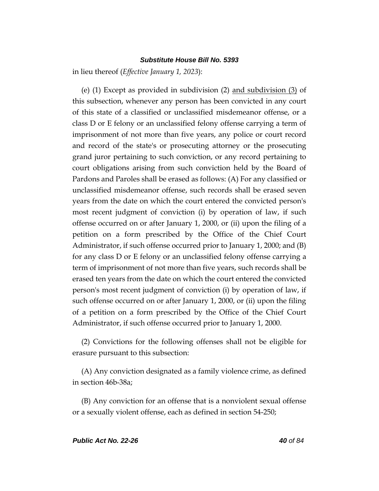in lieu thereof (*Effective January 1, 2023*):

(e) (1) Except as provided in subdivision (2) and subdivision (3) of this subsection, whenever any person has been convicted in any court of this state of a classified or unclassified misdemeanor offense, or a class D or E felony or an unclassified felony offense carrying a term of imprisonment of not more than five years, any police or court record and record of the state's or prosecuting attorney or the prosecuting grand juror pertaining to such conviction, or any record pertaining to court obligations arising from such conviction held by the Board of Pardons and Paroles shall be erased as follows: (A) For any classified or unclassified misdemeanor offense, such records shall be erased seven years from the date on which the court entered the convicted person's most recent judgment of conviction (i) by operation of law, if such offense occurred on or after January 1, 2000, or (ii) upon the filing of a petition on a form prescribed by the Office of the Chief Court Administrator, if such offense occurred prior to January 1, 2000; and (B) for any class D or E felony or an unclassified felony offense carrying a term of imprisonment of not more than five years, such records shall be erased ten years from the date on which the court entered the convicted person's most recent judgment of conviction (i) by operation of law, if such offense occurred on or after January 1, 2000, or (ii) upon the filing of a petition on a form prescribed by the Office of the Chief Court Administrator, if such offense occurred prior to January 1, 2000.

(2) Convictions for the following offenses shall not be eligible for erasure pursuant to this subsection:

(A) Any conviction designated as a family violence crime, as defined in section 46b-38a;

(B) Any conviction for an offense that is a nonviolent sexual offense or a sexually violent offense, each as defined in section 54-250;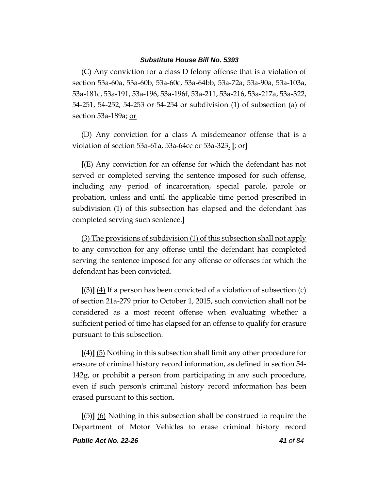(C) Any conviction for a class D felony offense that is a violation of section 53a-60a, 53a-60b, 53a-60c, 53a-64bb, 53a-72a, 53a-90a, 53a-103a, 53a-181c, 53a-191, 53a-196, 53a-196f, 53a-211, 53a-216, 53a-217a, 53a-322, 54-251, 54-252, 54-253 or 54-254 or subdivision (1) of subsection (a) of section 53a-189a; or

(D) Any conviction for a class A misdemeanor offense that is a violation of section 53a-61a, 53a-64cc or 53a-323. **[**; or**]**

**[**(E) Any conviction for an offense for which the defendant has not served or completed serving the sentence imposed for such offense, including any period of incarceration, special parole, parole or probation, unless and until the applicable time period prescribed in subdivision (1) of this subsection has elapsed and the defendant has completed serving such sentence.**]**

(3) The provisions of subdivision (1) of this subsection shall not apply to any conviction for any offense until the defendant has completed serving the sentence imposed for any offense or offenses for which the defendant has been convicted.

**[**(3)**]** (4) If a person has been convicted of a violation of subsection (c) of section 21a-279 prior to October 1, 2015, such conviction shall not be considered as a most recent offense when evaluating whether a sufficient period of time has elapsed for an offense to qualify for erasure pursuant to this subsection.

**[**(4)**]** (5) Nothing in this subsection shall limit any other procedure for erasure of criminal history record information, as defined in section 54- 142g, or prohibit a person from participating in any such procedure, even if such person's criminal history record information has been erased pursuant to this section.

**[**(5)**]** (6) Nothing in this subsection shall be construed to require the Department of Motor Vehicles to erase criminal history record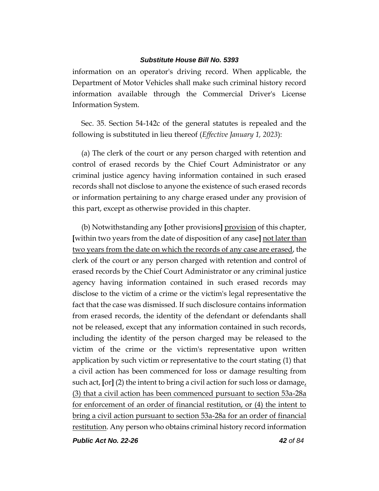information on an operator's driving record. When applicable, the Department of Motor Vehicles shall make such criminal history record information available through the Commercial Driver's License Information System.

Sec. 35. Section 54-142c of the general statutes is repealed and the following is substituted in lieu thereof (*Effective January 1, 2023*):

(a) The clerk of the court or any person charged with retention and control of erased records by the Chief Court Administrator or any criminal justice agency having information contained in such erased records shall not disclose to anyone the existence of such erased records or information pertaining to any charge erased under any provision of this part, except as otherwise provided in this chapter.

(b) Notwithstanding any **[**other provisions**]** provision of this chapter, **[**within two years from the date of disposition of any case**]** not later than two years from the date on which the records of any case are erased, the clerk of the court or any person charged with retention and control of erased records by the Chief Court Administrator or any criminal justice agency having information contained in such erased records may disclose to the victim of a crime or the victim's legal representative the fact that the case was dismissed. If such disclosure contains information from erased records, the identity of the defendant or defendants shall not be released, except that any information contained in such records, including the identity of the person charged may be released to the victim of the crime or the victim's representative upon written application by such victim or representative to the court stating (1) that a civil action has been commenced for loss or damage resulting from such act, **[**or**]** (2) the intent to bring a civil action for such loss or damage, (3) that a civil action has been commenced pursuant to section 53a-28a for enforcement of an order of financial restitution, or (4) the intent to bring a civil action pursuant to section 53a-28a for an order of financial restitution. Any person who obtains criminal history record information

*Public Act No. 22-26 42 of 84*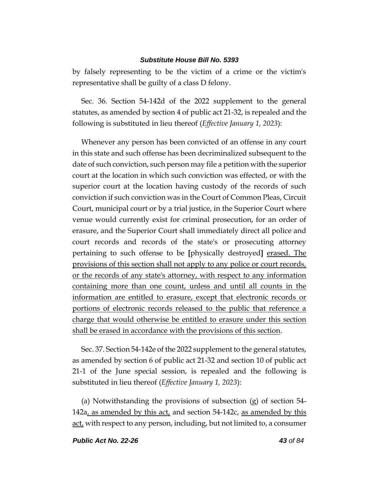by falsely representing to be the victim of a crime or the victim's representative shall be guilty of a class D felony.

Sec. 36. Section 54-142d of the 2022 supplement to the general statutes, as amended by section 4 of public act 21-32, is repealed and the following is substituted in lieu thereof (*Effective January 1, 2023*):

Whenever any person has been convicted of an offense in any court in this state and such offense has been decriminalized subsequent to the date of such conviction, such person may file a petition with the superior court at the location in which such conviction was effected, or with the superior court at the location having custody of the records of such conviction if such conviction was in the Court of Common Pleas, Circuit Court, municipal court or by a trial justice, in the Superior Court where venue would currently exist for criminal prosecution, for an order of erasure, and the Superior Court shall immediately direct all police and court records and records of the state's or prosecuting attorney pertaining to such offense to be **[**physically destroyed**]** erased. The provisions of this section shall not apply to any police or court records, or the records of any state's attorney, with respect to any information containing more than one count, unless and until all counts in the information are entitled to erasure, except that electronic records or portions of electronic records released to the public that reference a charge that would otherwise be entitled to erasure under this section shall be erased in accordance with the provisions of this section.

Sec. 37. Section 54-142e of the 2022 supplement to the general statutes, as amended by section 6 of public act 21-32 and section 10 of public act 21-1 of the June special session, is repealed and the following is substituted in lieu thereof (*Effective January 1, 2023*):

(a) Notwithstanding the provisions of subsection (g) of section 54- 142a, as amended by this act, and section 54-142c, as amended by this act, with respect to any person, including, but not limited to, a consumer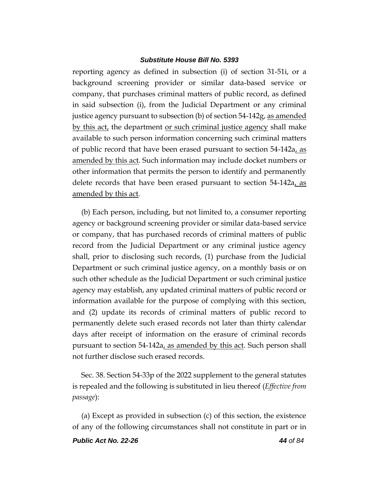reporting agency as defined in subsection (i) of section 31-51i, or a background screening provider or similar data-based service or company, that purchases criminal matters of public record, as defined in said subsection (i), from the Judicial Department or any criminal justice agency pursuant to subsection (b) of section 54-142g, as amended by this act, the department or such criminal justice agency shall make available to such person information concerning such criminal matters of public record that have been erased pursuant to section 54-142a, as amended by this act. Such information may include docket numbers or other information that permits the person to identify and permanently delete records that have been erased pursuant to section 54-142a, as amended by this act.

(b) Each person, including, but not limited to, a consumer reporting agency or background screening provider or similar data-based service or company, that has purchased records of criminal matters of public record from the Judicial Department or any criminal justice agency shall, prior to disclosing such records, (1) purchase from the Judicial Department or such criminal justice agency, on a monthly basis or on such other schedule as the Judicial Department or such criminal justice agency may establish, any updated criminal matters of public record or information available for the purpose of complying with this section, and (2) update its records of criminal matters of public record to permanently delete such erased records not later than thirty calendar days after receipt of information on the erasure of criminal records pursuant to section 54-142a, as amended by this act. Such person shall not further disclose such erased records.

Sec. 38. Section 54-33p of the 2022 supplement to the general statutes is repealed and the following is substituted in lieu thereof (*Effective from passage*):

(a) Except as provided in subsection (c) of this section, the existence of any of the following circumstances shall not constitute in part or in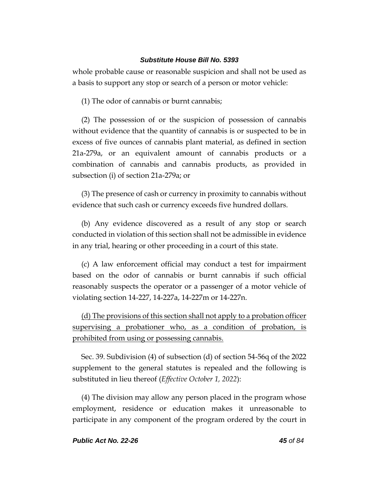whole probable cause or reasonable suspicion and shall not be used as a basis to support any stop or search of a person or motor vehicle:

(1) The odor of cannabis or burnt cannabis;

(2) The possession of or the suspicion of possession of cannabis without evidence that the quantity of cannabis is or suspected to be in excess of five ounces of cannabis plant material, as defined in section 21a-279a, or an equivalent amount of cannabis products or a combination of cannabis and cannabis products, as provided in subsection (i) of section 21a-279a; or

(3) The presence of cash or currency in proximity to cannabis without evidence that such cash or currency exceeds five hundred dollars.

(b) Any evidence discovered as a result of any stop or search conducted in violation of this section shall not be admissible in evidence in any trial, hearing or other proceeding in a court of this state.

(c) A law enforcement official may conduct a test for impairment based on the odor of cannabis or burnt cannabis if such official reasonably suspects the operator or a passenger of a motor vehicle of violating section 14-227, 14-227a, 14-227m or 14-227n.

(d) The provisions of this section shall not apply to a probation officer supervising a probationer who, as a condition of probation, is prohibited from using or possessing cannabis.

Sec. 39. Subdivision (4) of subsection (d) of section 54-56q of the 2022 supplement to the general statutes is repealed and the following is substituted in lieu thereof (*Effective October 1, 2022*):

(4) The division may allow any person placed in the program whose employment, residence or education makes it unreasonable to participate in any component of the program ordered by the court in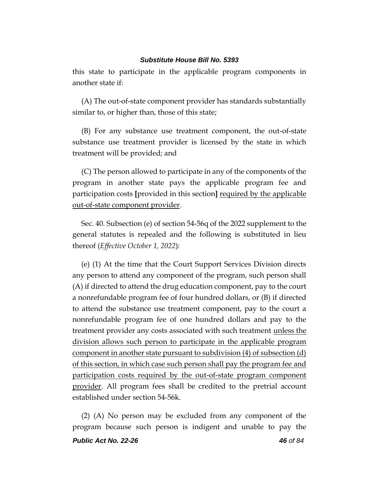this state to participate in the applicable program components in another state if:

(A) The out-of-state component provider has standards substantially similar to, or higher than, those of this state;

(B) For any substance use treatment component, the out-of-state substance use treatment provider is licensed by the state in which treatment will be provided; and

(C) The person allowed to participate in any of the components of the program in another state pays the applicable program fee and participation costs **[**provided in this section**]** required by the applicable out-of-state component provider.

Sec. 40. Subsection (e) of section 54-56q of the 2022 supplement to the general statutes is repealed and the following is substituted in lieu thereof (*Effective October 1, 2022*):

(e) (1) At the time that the Court Support Services Division directs any person to attend any component of the program, such person shall (A) if directed to attend the drug education component, pay to the court a nonrefundable program fee of four hundred dollars, or (B) if directed to attend the substance use treatment component, pay to the court a nonrefundable program fee of one hundred dollars and pay to the treatment provider any costs associated with such treatment unless the division allows such person to participate in the applicable program component in another state pursuant to subdivision (4) of subsection (d) of this section, in which case such person shall pay the program fee and participation costs required by the out-of-state program component provider. All program fees shall be credited to the pretrial account established under section 54-56k.

(2) (A) No person may be excluded from any component of the program because such person is indigent and unable to pay the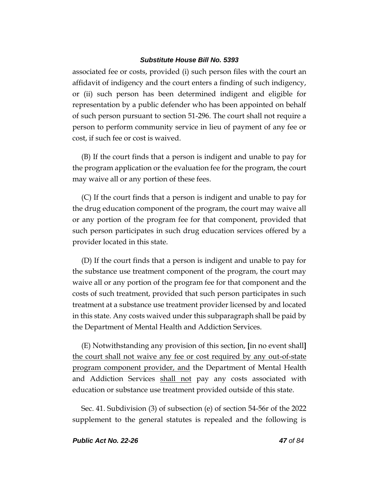associated fee or costs, provided (i) such person files with the court an affidavit of indigency and the court enters a finding of such indigency, or (ii) such person has been determined indigent and eligible for representation by a public defender who has been appointed on behalf of such person pursuant to section 51-296. The court shall not require a person to perform community service in lieu of payment of any fee or cost, if such fee or cost is waived.

(B) If the court finds that a person is indigent and unable to pay for the program application or the evaluation fee for the program, the court may waive all or any portion of these fees.

(C) If the court finds that a person is indigent and unable to pay for the drug education component of the program, the court may waive all or any portion of the program fee for that component, provided that such person participates in such drug education services offered by a provider located in this state.

(D) If the court finds that a person is indigent and unable to pay for the substance use treatment component of the program, the court may waive all or any portion of the program fee for that component and the costs of such treatment, provided that such person participates in such treatment at a substance use treatment provider licensed by and located in this state. Any costs waived under this subparagraph shall be paid by the Department of Mental Health and Addiction Services.

(E) Notwithstanding any provision of this section, **[**in no event shall**]** the court shall not waive any fee or cost required by any out-of-state program component provider, and the Department of Mental Health and Addiction Services shall not pay any costs associated with education or substance use treatment provided outside of this state.

Sec. 41. Subdivision (3) of subsection (e) of section 54-56r of the 2022 supplement to the general statutes is repealed and the following is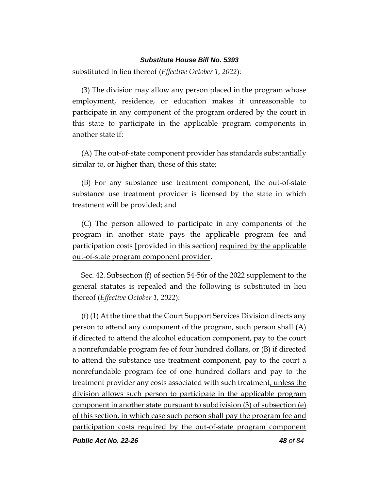substituted in lieu thereof (*Effective October 1, 2022*):

(3) The division may allow any person placed in the program whose employment, residence, or education makes it unreasonable to participate in any component of the program ordered by the court in this state to participate in the applicable program components in another state if:

(A) The out-of-state component provider has standards substantially similar to, or higher than, those of this state;

(B) For any substance use treatment component, the out-of-state substance use treatment provider is licensed by the state in which treatment will be provided; and

(C) The person allowed to participate in any components of the program in another state pays the applicable program fee and participation costs **[**provided in this section**]** required by the applicable out-of-state program component provider.

Sec. 42. Subsection (f) of section 54-56r of the 2022 supplement to the general statutes is repealed and the following is substituted in lieu thereof (*Effective October 1, 2022*):

(f) (1) At the time that the Court Support Services Division directs any person to attend any component of the program, such person shall (A) if directed to attend the alcohol education component, pay to the court a nonrefundable program fee of four hundred dollars, or (B) if directed to attend the substance use treatment component, pay to the court a nonrefundable program fee of one hundred dollars and pay to the treatment provider any costs associated with such treatment, unless the division allows such person to participate in the applicable program component in another state pursuant to subdivision (3) of subsection (e) of this section, in which case such person shall pay the program fee and participation costs required by the out-of-state program component

*Public Act No. 22-26 48 of 84*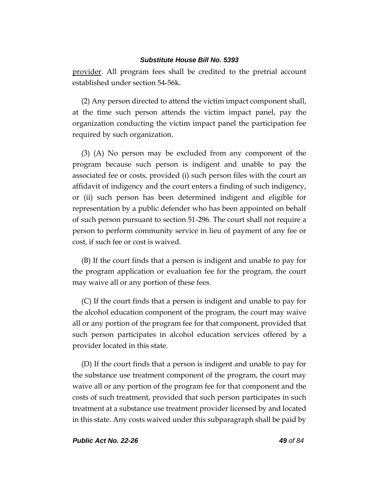provider. All program fees shall be credited to the pretrial account established under section 54-56k.

(2) Any person directed to attend the victim impact component shall, at the time such person attends the victim impact panel, pay the organization conducting the victim impact panel the participation fee required by such organization.

(3) (A) No person may be excluded from any component of the program because such person is indigent and unable to pay the associated fee or costs, provided (i) such person files with the court an affidavit of indigency and the court enters a finding of such indigency, or (ii) such person has been determined indigent and eligible for representation by a public defender who has been appointed on behalf of such person pursuant to section 51-296. The court shall not require a person to perform community service in lieu of payment of any fee or cost, if such fee or cost is waived.

(B) If the court finds that a person is indigent and unable to pay for the program application or evaluation fee for the program, the court may waive all or any portion of these fees.

(C) If the court finds that a person is indigent and unable to pay for the alcohol education component of the program, the court may waive all or any portion of the program fee for that component, provided that such person participates in alcohol education services offered by a provider located in this state.

(D) If the court finds that a person is indigent and unable to pay for the substance use treatment component of the program, the court may waive all or any portion of the program fee for that component and the costs of such treatment, provided that such person participates in such treatment at a substance use treatment provider licensed by and located in this state. Any costs waived under this subparagraph shall be paid by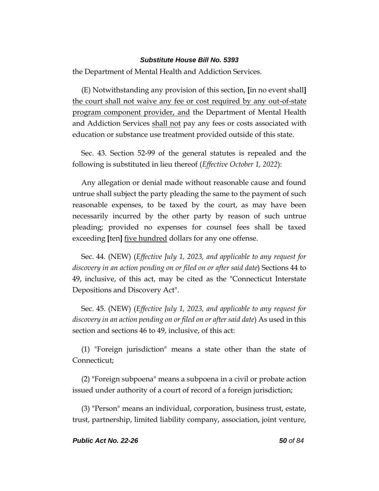the Department of Mental Health and Addiction Services.

(E) Notwithstanding any provision of this section, **[**in no event shall**]** the court shall not waive any fee or cost required by any out-of-state program component provider, and the Department of Mental Health and Addiction Services shall not pay any fees or costs associated with education or substance use treatment provided outside of this state.

Sec. 43. Section 52-99 of the general statutes is repealed and the following is substituted in lieu thereof (*Effective October 1, 2022*):

Any allegation or denial made without reasonable cause and found untrue shall subject the party pleading the same to the payment of such reasonable expenses, to be taxed by the court, as may have been necessarily incurred by the other party by reason of such untrue pleading; provided no expenses for counsel fees shall be taxed exceeding **[**ten**]** five hundred dollars for any one offense.

Sec. 44. (NEW) (*Effective July 1, 2023, and applicable to any request for discovery in an action pending on or filed on or after said date*) Sections 44 to 49, inclusive, of this act, may be cited as the "Connecticut Interstate Depositions and Discovery Act".

Sec. 45. (NEW) (*Effective July 1, 2023, and applicable to any request for discovery in an action pending on or filed on or after said date*) As used in this section and sections 46 to 49, inclusive, of this act:

(1) "Foreign jurisdiction" means a state other than the state of Connecticut;

(2) "Foreign subpoena" means a subpoena in a civil or probate action issued under authority of a court of record of a foreign jurisdiction;

(3) "Person" means an individual, corporation, business trust, estate, trust, partnership, limited liability company, association, joint venture,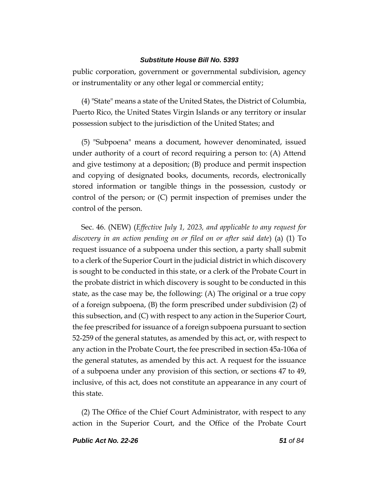public corporation, government or governmental subdivision, agency or instrumentality or any other legal or commercial entity;

(4) "State" means a state of the United States, the District of Columbia, Puerto Rico, the United States Virgin Islands or any territory or insular possession subject to the jurisdiction of the United States; and

(5) "Subpoena" means a document, however denominated, issued under authority of a court of record requiring a person to: (A) Attend and give testimony at a deposition; (B) produce and permit inspection and copying of designated books, documents, records, electronically stored information or tangible things in the possession, custody or control of the person; or (C) permit inspection of premises under the control of the person.

Sec. 46. (NEW) (*Effective July 1, 2023, and applicable to any request for discovery in an action pending on or filed on or after said date*) (a) (1) To request issuance of a subpoena under this section, a party shall submit to a clerk of the Superior Court in the judicial district in which discovery is sought to be conducted in this state, or a clerk of the Probate Court in the probate district in which discovery is sought to be conducted in this state, as the case may be, the following: (A) The original or a true copy of a foreign subpoena, (B) the form prescribed under subdivision (2) of this subsection, and (C) with respect to any action in the Superior Court, the fee prescribed for issuance of a foreign subpoena pursuant to section 52-259 of the general statutes, as amended by this act, or, with respect to any action in the Probate Court, the fee prescribed in section 45a-106a of the general statutes, as amended by this act. A request for the issuance of a subpoena under any provision of this section, or sections 47 to 49, inclusive, of this act, does not constitute an appearance in any court of this state.

(2) The Office of the Chief Court Administrator, with respect to any action in the Superior Court, and the Office of the Probate Court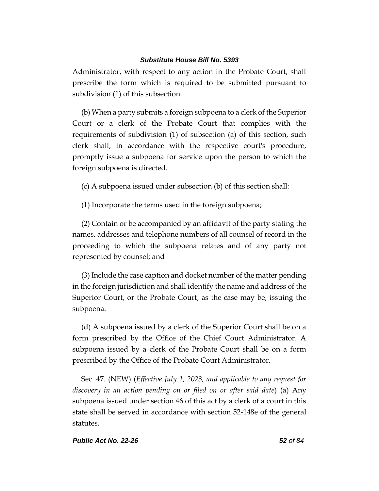Administrator, with respect to any action in the Probate Court, shall prescribe the form which is required to be submitted pursuant to subdivision (1) of this subsection.

(b) When a party submits a foreign subpoena to a clerk of the Superior Court or a clerk of the Probate Court that complies with the requirements of subdivision (1) of subsection (a) of this section, such clerk shall, in accordance with the respective court's procedure, promptly issue a subpoena for service upon the person to which the foreign subpoena is directed.

(c) A subpoena issued under subsection (b) of this section shall:

(1) Incorporate the terms used in the foreign subpoena;

(2) Contain or be accompanied by an affidavit of the party stating the names, addresses and telephone numbers of all counsel of record in the proceeding to which the subpoena relates and of any party not represented by counsel; and

(3) Include the case caption and docket number of the matter pending in the foreign jurisdiction and shall identify the name and address of the Superior Court, or the Probate Court, as the case may be, issuing the subpoena.

(d) A subpoena issued by a clerk of the Superior Court shall be on a form prescribed by the Office of the Chief Court Administrator. A subpoena issued by a clerk of the Probate Court shall be on a form prescribed by the Office of the Probate Court Administrator.

Sec. 47. (NEW) (*Effective July 1, 2023, and applicable to any request for discovery in an action pending on or filed on or after said date*) (a) Any subpoena issued under section 46 of this act by a clerk of a court in this state shall be served in accordance with section 52-148e of the general statutes.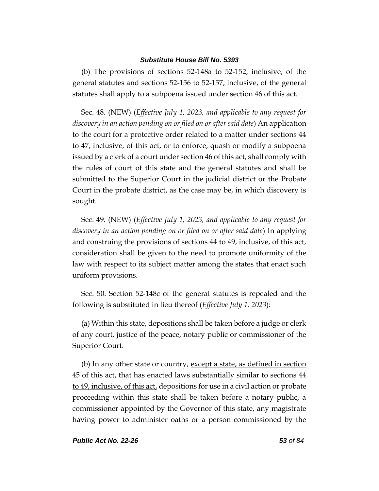(b) The provisions of sections 52-148a to 52-152, inclusive, of the general statutes and sections 52-156 to 52-157, inclusive, of the general statutes shall apply to a subpoena issued under section 46 of this act.

Sec. 48. (NEW) (*Effective July 1, 2023, and applicable to any request for discovery in an action pending on or filed on or after said date*) An application to the court for a protective order related to a matter under sections 44 to 47, inclusive, of this act, or to enforce, quash or modify a subpoena issued by a clerk of a court under section 46 of this act, shall comply with the rules of court of this state and the general statutes and shall be submitted to the Superior Court in the judicial district or the Probate Court in the probate district, as the case may be, in which discovery is sought.

Sec. 49. (NEW) (*Effective July 1, 2023, and applicable to any request for discovery in an action pending on or filed on or after said date*) In applying and construing the provisions of sections 44 to 49, inclusive, of this act, consideration shall be given to the need to promote uniformity of the law with respect to its subject matter among the states that enact such uniform provisions.

Sec. 50. Section 52-148c of the general statutes is repealed and the following is substituted in lieu thereof (*Effective July 1, 2023*):

(a) Within this state, depositions shall be taken before a judge or clerk of any court, justice of the peace, notary public or commissioner of the Superior Court.

(b) In any other state or country, except a state, as defined in section 45 of this act, that has enacted laws substantially similar to sections 44 to 49, inclusive, of this act, depositions for use in a civil action or probate proceeding within this state shall be taken before a notary public, a commissioner appointed by the Governor of this state, any magistrate having power to administer oaths or a person commissioned by the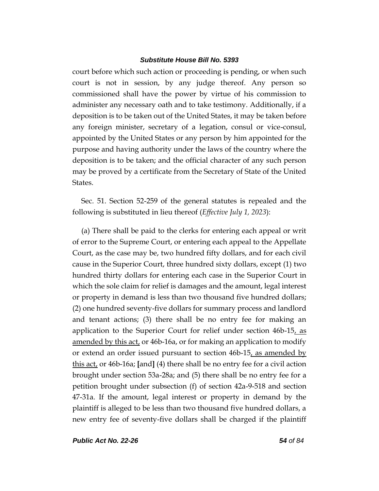court before which such action or proceeding is pending, or when such court is not in session, by any judge thereof. Any person so commissioned shall have the power by virtue of his commission to administer any necessary oath and to take testimony. Additionally, if a deposition is to be taken out of the United States, it may be taken before any foreign minister, secretary of a legation, consul or vice-consul, appointed by the United States or any person by him appointed for the purpose and having authority under the laws of the country where the deposition is to be taken; and the official character of any such person may be proved by a certificate from the Secretary of State of the United States.

Sec. 51. Section 52-259 of the general statutes is repealed and the following is substituted in lieu thereof (*Effective July 1, 2023*):

(a) There shall be paid to the clerks for entering each appeal or writ of error to the Supreme Court, or entering each appeal to the Appellate Court, as the case may be, two hundred fifty dollars, and for each civil cause in the Superior Court, three hundred sixty dollars, except (1) two hundred thirty dollars for entering each case in the Superior Court in which the sole claim for relief is damages and the amount, legal interest or property in demand is less than two thousand five hundred dollars; (2) one hundred seventy-five dollars for summary process and landlord and tenant actions; (3) there shall be no entry fee for making an application to the Superior Court for relief under section 46b-15, as amended by this act, or 46b-16a, or for making an application to modify or extend an order issued pursuant to section 46b-15, as amended by this act, or 46b-16a; **[**and**]** (4) there shall be no entry fee for a civil action brought under section 53a-28a; and (5) there shall be no entry fee for a petition brought under subsection (f) of section 42a-9-518 and section 47-31a. If the amount, legal interest or property in demand by the plaintiff is alleged to be less than two thousand five hundred dollars, a new entry fee of seventy-five dollars shall be charged if the plaintiff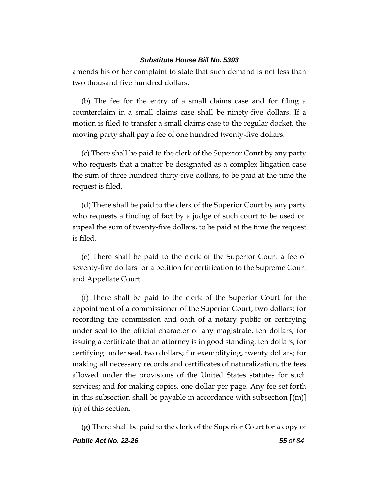amends his or her complaint to state that such demand is not less than two thousand five hundred dollars.

(b) The fee for the entry of a small claims case and for filing a counterclaim in a small claims case shall be ninety-five dollars. If a motion is filed to transfer a small claims case to the regular docket, the moving party shall pay a fee of one hundred twenty-five dollars.

(c) There shall be paid to the clerk of the Superior Court by any party who requests that a matter be designated as a complex litigation case the sum of three hundred thirty-five dollars, to be paid at the time the request is filed.

(d) There shall be paid to the clerk of the Superior Court by any party who requests a finding of fact by a judge of such court to be used on appeal the sum of twenty-five dollars, to be paid at the time the request is filed.

(e) There shall be paid to the clerk of the Superior Court a fee of seventy-five dollars for a petition for certification to the Supreme Court and Appellate Court.

(f) There shall be paid to the clerk of the Superior Court for the appointment of a commissioner of the Superior Court, two dollars; for recording the commission and oath of a notary public or certifying under seal to the official character of any magistrate, ten dollars; for issuing a certificate that an attorney is in good standing, ten dollars; for certifying under seal, two dollars; for exemplifying, twenty dollars; for making all necessary records and certificates of naturalization, the fees allowed under the provisions of the United States statutes for such services; and for making copies, one dollar per page. Any fee set forth in this subsection shall be payable in accordance with subsection **[**(m)**]** (n) of this section.

*Public Act No. 22-26 55 of 84* (g) There shall be paid to the clerk of the Superior Court for a copy of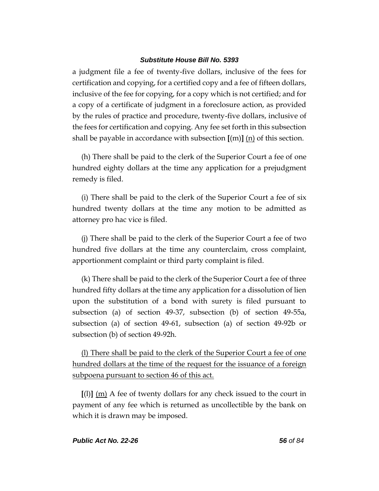a judgment file a fee of twenty-five dollars, inclusive of the fees for certification and copying, for a certified copy and a fee of fifteen dollars, inclusive of the fee for copying, for a copy which is not certified; and for a copy of a certificate of judgment in a foreclosure action, as provided by the rules of practice and procedure, twenty-five dollars, inclusive of the fees for certification and copying. Any fee set forth in this subsection shall be payable in accordance with subsection **[**(m)**]** (n) of this section.

(h) There shall be paid to the clerk of the Superior Court a fee of one hundred eighty dollars at the time any application for a prejudgment remedy is filed.

(i) There shall be paid to the clerk of the Superior Court a fee of six hundred twenty dollars at the time any motion to be admitted as attorney pro hac vice is filed.

(j) There shall be paid to the clerk of the Superior Court a fee of two hundred five dollars at the time any counterclaim, cross complaint, apportionment complaint or third party complaint is filed.

(k) There shall be paid to the clerk of the Superior Court a fee of three hundred fifty dollars at the time any application for a dissolution of lien upon the substitution of a bond with surety is filed pursuant to subsection (a) of section 49-37, subsection (b) of section 49-55a, subsection (a) of section 49-61, subsection (a) of section 49-92b or subsection (b) of section 49-92h.

(l) There shall be paid to the clerk of the Superior Court a fee of one hundred dollars at the time of the request for the issuance of a foreign subpoena pursuant to section 46 of this act.

**[**(l)**]** (m) A fee of twenty dollars for any check issued to the court in payment of any fee which is returned as uncollectible by the bank on which it is drawn may be imposed.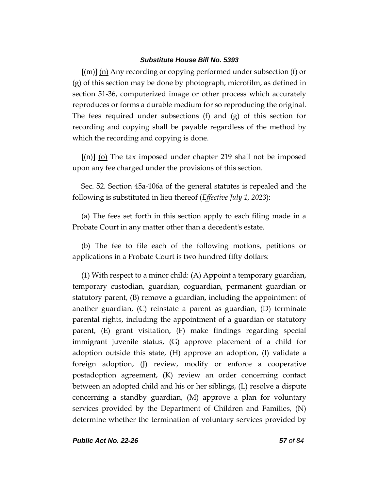**[**(m)**]** (n) Any recording or copying performed under subsection (f) or (g) of this section may be done by photograph, microfilm, as defined in section 51-36, computerized image or other process which accurately reproduces or forms a durable medium for so reproducing the original. The fees required under subsections (f) and (g) of this section for recording and copying shall be payable regardless of the method by which the recording and copying is done.

**[**(n)**]** (o) The tax imposed under chapter 219 shall not be imposed upon any fee charged under the provisions of this section.

Sec. 52. Section 45a-106a of the general statutes is repealed and the following is substituted in lieu thereof (*Effective July 1, 2023*):

(a) The fees set forth in this section apply to each filing made in a Probate Court in any matter other than a decedent's estate.

(b) The fee to file each of the following motions, petitions or applications in a Probate Court is two hundred fifty dollars:

(1) With respect to a minor child: (A) Appoint a temporary guardian, temporary custodian, guardian, coguardian, permanent guardian or statutory parent, (B) remove a guardian, including the appointment of another guardian, (C) reinstate a parent as guardian, (D) terminate parental rights, including the appointment of a guardian or statutory parent, (E) grant visitation, (F) make findings regarding special immigrant juvenile status, (G) approve placement of a child for adoption outside this state, (H) approve an adoption, (I) validate a foreign adoption, (J) review, modify or enforce a cooperative postadoption agreement, (K) review an order concerning contact between an adopted child and his or her siblings, (L) resolve a dispute concerning a standby guardian, (M) approve a plan for voluntary services provided by the Department of Children and Families, (N) determine whether the termination of voluntary services provided by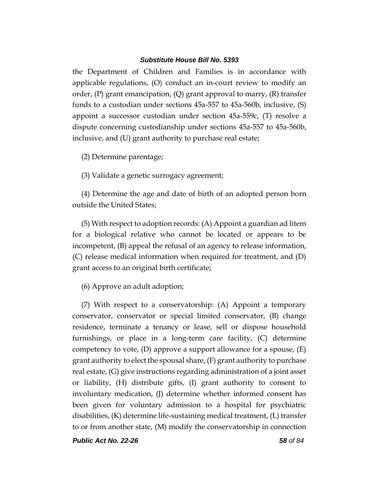the Department of Children and Families is in accordance with applicable regulations, (O) conduct an in-court review to modify an order,  $(P)$  grant emancipation,  $(Q)$  grant approval to marry,  $(R)$  transfer funds to a custodian under sections 45a-557 to 45a-560b, inclusive, (S) appoint a successor custodian under section 45a-559c, (T) resolve a dispute concerning custodianship under sections 45a-557 to 45a-560b, inclusive, and (U) grant authority to purchase real estate;

(2) Determine parentage;

(3) Validate a genetic surrogacy agreement;

(4) Determine the age and date of birth of an adopted person born outside the United States;

(5) With respect to adoption records: (A) Appoint a guardian ad litem for a biological relative who cannot be located or appears to be incompetent, (B) appeal the refusal of an agency to release information, (C) release medical information when required for treatment, and (D) grant access to an original birth certificate;

(6) Approve an adult adoption;

(7) With respect to a conservatorship: (A) Appoint a temporary conservator, conservator or special limited conservator, (B) change residence, terminate a tenancy or lease, sell or dispose household furnishings, or place in a long-term care facility, (C) determine competency to vote,  $(D)$  approve a support allowance for a spouse,  $(E)$ grant authority to elect the spousal share, (F) grant authority to purchase real estate, (G) give instructions regarding administration of a joint asset or liability, (H) distribute gifts, (I) grant authority to consent to involuntary medication, (J) determine whether informed consent has been given for voluntary admission to a hospital for psychiatric disabilities, (K) determine life-sustaining medical treatment, (L) transfer to or from another state, (M) modify the conservatorship in connection

*Public Act No. 22-26 58 of 84*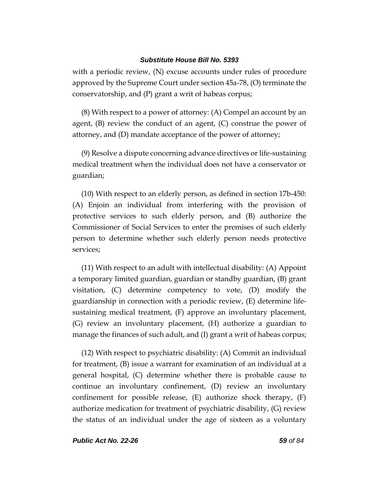with a periodic review, (N) excuse accounts under rules of procedure approved by the Supreme Court under section 45a-78, (O) terminate the conservatorship, and (P) grant a writ of habeas corpus;

(8) With respect to a power of attorney: (A) Compel an account by an agent,  $(B)$  review the conduct of an agent,  $(C)$  construe the power of attorney, and (D) mandate acceptance of the power of attorney;

(9) Resolve a dispute concerning advance directives or life-sustaining medical treatment when the individual does not have a conservator or guardian;

(10) With respect to an elderly person, as defined in section 17b-450: (A) Enjoin an individual from interfering with the provision of protective services to such elderly person, and (B) authorize the Commissioner of Social Services to enter the premises of such elderly person to determine whether such elderly person needs protective services;

(11) With respect to an adult with intellectual disability: (A) Appoint a temporary limited guardian, guardian or standby guardian, (B) grant visitation, (C) determine competency to vote, (D) modify the guardianship in connection with a periodic review, (E) determine lifesustaining medical treatment, (F) approve an involuntary placement, (G) review an involuntary placement, (H) authorize a guardian to manage the finances of such adult, and (I) grant a writ of habeas corpus;

(12) With respect to psychiatric disability: (A) Commit an individual for treatment, (B) issue a warrant for examination of an individual at a general hospital, (C) determine whether there is probable cause to continue an involuntary confinement, (D) review an involuntary confinement for possible release, (E) authorize shock therapy, (F) authorize medication for treatment of psychiatric disability, (G) review the status of an individual under the age of sixteen as a voluntary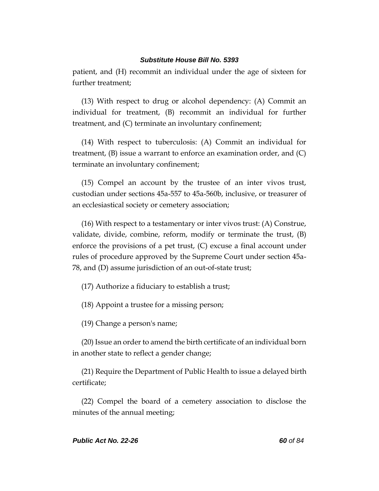patient, and (H) recommit an individual under the age of sixteen for further treatment;

(13) With respect to drug or alcohol dependency: (A) Commit an individual for treatment, (B) recommit an individual for further treatment, and (C) terminate an involuntary confinement;

(14) With respect to tuberculosis: (A) Commit an individual for treatment,  $(B)$  issue a warrant to enforce an examination order, and  $(C)$ terminate an involuntary confinement;

(15) Compel an account by the trustee of an inter vivos trust, custodian under sections 45a-557 to 45a-560b, inclusive, or treasurer of an ecclesiastical society or cemetery association;

(16) With respect to a testamentary or inter vivos trust: (A) Construe, validate, divide, combine, reform, modify or terminate the trust, (B) enforce the provisions of a pet trust, (C) excuse a final account under rules of procedure approved by the Supreme Court under section 45a-78, and (D) assume jurisdiction of an out-of-state trust;

(17) Authorize a fiduciary to establish a trust;

(18) Appoint a trustee for a missing person;

(19) Change a person's name;

(20) Issue an order to amend the birth certificate of an individual born in another state to reflect a gender change;

(21) Require the Department of Public Health to issue a delayed birth certificate;

(22) Compel the board of a cemetery association to disclose the minutes of the annual meeting;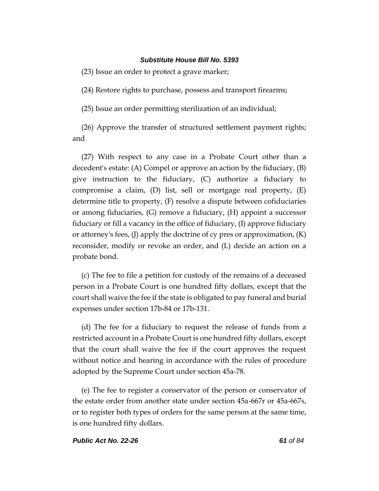(23) Issue an order to protect a grave marker;

(24) Restore rights to purchase, possess and transport firearms;

(25) Issue an order permitting sterilization of an individual;

(26) Approve the transfer of structured settlement payment rights; and

(27) With respect to any case in a Probate Court other than a decedent's estate: (A) Compel or approve an action by the fiduciary, (B) give instruction to the fiduciary, (C) authorize a fiduciary to compromise a claim, (D) list, sell or mortgage real property, (E) determine title to property, (F) resolve a dispute between cofiduciaries or among fiduciaries, (G) remove a fiduciary, (H) appoint a successor fiduciary or fill a vacancy in the office of fiduciary, (I) approve fiduciary or attorney's fees, (J) apply the doctrine of cy pres or approximation, (K) reconsider, modify or revoke an order, and (L) decide an action on a probate bond.

(c) The fee to file a petition for custody of the remains of a deceased person in a Probate Court is one hundred fifty dollars, except that the court shall waive the fee if the state is obligated to pay funeral and burial expenses under section 17b-84 or 17b-131.

(d) The fee for a fiduciary to request the release of funds from a restricted account in a Probate Court is one hundred fifty dollars, except that the court shall waive the fee if the court approves the request without notice and hearing in accordance with the rules of procedure adopted by the Supreme Court under section 45a-78.

(e) The fee to register a conservator of the person or conservator of the estate order from another state under section 45a-667r or 45a-667s, or to register both types of orders for the same person at the same time, is one hundred fifty dollars.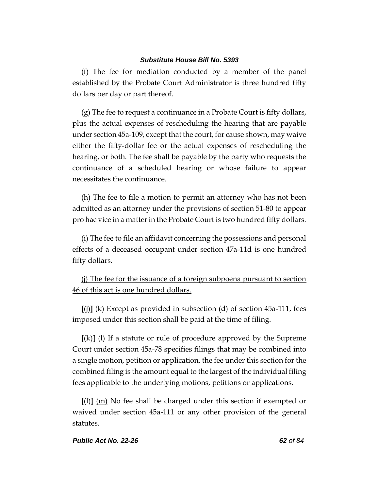(f) The fee for mediation conducted by a member of the panel established by the Probate Court Administrator is three hundred fifty dollars per day or part thereof.

(g) The fee to request a continuance in a Probate Court is fifty dollars, plus the actual expenses of rescheduling the hearing that are payable under section 45a-109, except that the court, for cause shown, may waive either the fifty-dollar fee or the actual expenses of rescheduling the hearing, or both. The fee shall be payable by the party who requests the continuance of a scheduled hearing or whose failure to appear necessitates the continuance.

(h) The fee to file a motion to permit an attorney who has not been admitted as an attorney under the provisions of section 51-80 to appear pro hac vice in a matter in the Probate Court is two hundred fifty dollars.

(i) The fee to file an affidavit concerning the possessions and personal effects of a deceased occupant under section 47a-11d is one hundred fifty dollars.

(j) The fee for the issuance of a foreign subpoena pursuant to section 46 of this act is one hundred dollars.

**[**(j)**]** (k) Except as provided in subsection (d) of section 45a-111, fees imposed under this section shall be paid at the time of filing.

**[**(k)**]** (l) If a statute or rule of procedure approved by the Supreme Court under section 45a-78 specifies filings that may be combined into a single motion, petition or application, the fee under this section for the combined filing is the amount equal to the largest of the individual filing fees applicable to the underlying motions, petitions or applications.

**[**(l)**]** (m) No fee shall be charged under this section if exempted or waived under section 45a-111 or any other provision of the general statutes.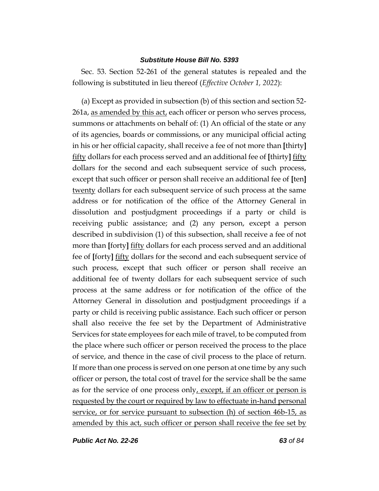Sec. 53. Section 52-261 of the general statutes is repealed and the following is substituted in lieu thereof (*Effective October 1, 2022*):

(a) Except as provided in subsection (b) of this section and section 52- 261a, as amended by this act, each officer or person who serves process, summons or attachments on behalf of: (1) An official of the state or any of its agencies, boards or commissions, or any municipal official acting in his or her official capacity, shall receive a fee of not more than **[**thirty**]** fifty dollars for each process served and an additional fee of **[**thirty**]** fifty dollars for the second and each subsequent service of such process, except that such officer or person shall receive an additional fee of **[**ten**]** twenty dollars for each subsequent service of such process at the same address or for notification of the office of the Attorney General in dissolution and postjudgment proceedings if a party or child is receiving public assistance; and (2) any person, except a person described in subdivision (1) of this subsection, shall receive a fee of not more than **[**forty**]** fifty dollars for each process served and an additional fee of **[**forty**]** fifty dollars for the second and each subsequent service of such process, except that such officer or person shall receive an additional fee of twenty dollars for each subsequent service of such process at the same address or for notification of the office of the Attorney General in dissolution and postjudgment proceedings if a party or child is receiving public assistance. Each such officer or person shall also receive the fee set by the Department of Administrative Services for state employees for each mile of travel, to be computed from the place where such officer or person received the process to the place of service, and thence in the case of civil process to the place of return. If more than one process is served on one person at one time by any such officer or person, the total cost of travel for the service shall be the same as for the service of one process only, except, if an officer or person is requested by the court or required by law to effectuate in-hand personal service, or for service pursuant to subsection (h) of section 46b-15, as amended by this act, such officer or person shall receive the fee set by

*Public Act No. 22-26 63 of 84*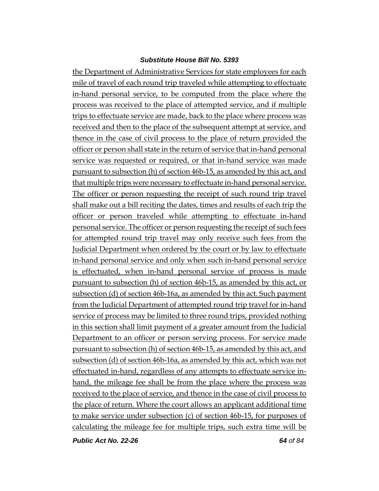the Department of Administrative Services for state employees for each mile of travel of each round trip traveled while attempting to effectuate in-hand personal service, to be computed from the place where the process was received to the place of attempted service, and if multiple trips to effectuate service are made, back to the place where process was received and then to the place of the subsequent attempt at service, and thence in the case of civil process to the place of return provided the officer or person shall state in the return of service that in-hand personal service was requested or required, or that in-hand service was made pursuant to subsection (h) of section 46b-15, as amended by this act, and that multiple trips were necessary to effectuate in-hand personal service. The officer or person requesting the receipt of such round trip travel shall make out a bill reciting the dates, times and results of each trip the officer or person traveled while attempting to effectuate in-hand personal service. The officer or person requesting the receipt of such fees for attempted round trip travel may only receive such fees from the Judicial Department when ordered by the court or by law to effectuate in-hand personal service and only when such in-hand personal service is effectuated, when in-hand personal service of process is made pursuant to subsection (h) of section 46b-15, as amended by this act, or subsection (d) of section 46b-16a, as amended by this act. Such payment from the Judicial Department of attempted round trip travel for in-hand service of process may be limited to three round trips, provided nothing in this section shall limit payment of a greater amount from the Judicial Department to an officer or person serving process. For service made pursuant to subsection (h) of section 46b-15, as amended by this act, and subsection (d) of section 46b-16a, as amended by this act, which was not effectuated in-hand, regardless of any attempts to effectuate service inhand, the mileage fee shall be from the place where the process was received to the place of service, and thence in the case of civil process to the place of return. Where the court allows an applicant additional time to make service under subsection (c) of section 46b-15, for purposes of calculating the mileage fee for multiple trips, such extra time will be

*Public Act No. 22-26 64 of 84*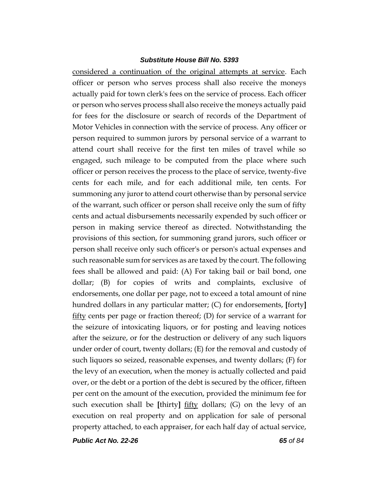considered a continuation of the original attempts at service. Each officer or person who serves process shall also receive the moneys actually paid for town clerk's fees on the service of process. Each officer or person who serves process shall also receive the moneys actually paid for fees for the disclosure or search of records of the Department of Motor Vehicles in connection with the service of process. Any officer or person required to summon jurors by personal service of a warrant to attend court shall receive for the first ten miles of travel while so engaged, such mileage to be computed from the place where such officer or person receives the process to the place of service, twenty-five cents for each mile, and for each additional mile, ten cents. For summoning any juror to attend court otherwise than by personal service of the warrant, such officer or person shall receive only the sum of fifty cents and actual disbursements necessarily expended by such officer or person in making service thereof as directed. Notwithstanding the provisions of this section, for summoning grand jurors, such officer or person shall receive only such officer's or person's actual expenses and such reasonable sum for services as are taxed by the court. The following fees shall be allowed and paid: (A) For taking bail or bail bond, one dollar; (B) for copies of writs and complaints, exclusive of endorsements, one dollar per page, not to exceed a total amount of nine hundred dollars in any particular matter; (C) for endorsements, **[**forty**]** fifty cents per page or fraction thereof; (D) for service of a warrant for the seizure of intoxicating liquors, or for posting and leaving notices after the seizure, or for the destruction or delivery of any such liquors under order of court, twenty dollars; (E) for the removal and custody of such liquors so seized, reasonable expenses, and twenty dollars; (F) for the levy of an execution, when the money is actually collected and paid over, or the debt or a portion of the debt is secured by the officer, fifteen per cent on the amount of the execution, provided the minimum fee for such execution shall be **[**thirty**]** fifty dollars; (G) on the levy of an execution on real property and on application for sale of personal property attached, to each appraiser, for each half day of actual service,

*Public Act No. 22-26 65 of 84*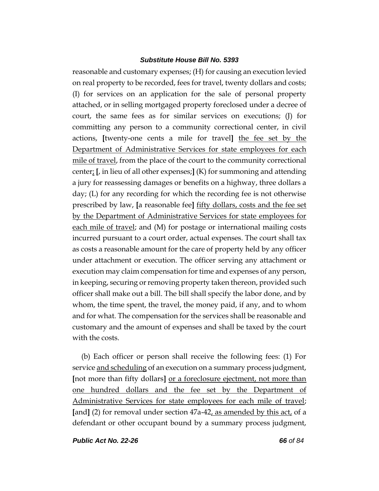reasonable and customary expenses; (H) for causing an execution levied on real property to be recorded, fees for travel, twenty dollars and costs; (I) for services on an application for the sale of personal property attached, or in selling mortgaged property foreclosed under a decree of court, the same fees as for similar services on executions; (J) for committing any person to a community correctional center, in civil actions, **[**twenty-one cents a mile for travel**]** the fee set by the Department of Administrative Services for state employees for each mile of travel, from the place of the court to the community correctional center; **[**, in lieu of all other expenses;**]** (K) for summoning and attending a jury for reassessing damages or benefits on a highway, three dollars a day; (L) for any recording for which the recording fee is not otherwise prescribed by law, **[**a reasonable fee**]** fifty dollars, costs and the fee set by the Department of Administrative Services for state employees for each mile of travel; and (M) for postage or international mailing costs incurred pursuant to a court order, actual expenses. The court shall tax as costs a reasonable amount for the care of property held by any officer under attachment or execution. The officer serving any attachment or execution may claim compensation for time and expenses of any person, in keeping, securing or removing property taken thereon, provided such officer shall make out a bill. The bill shall specify the labor done, and by whom, the time spent, the travel, the money paid, if any, and to whom and for what. The compensation for the services shall be reasonable and customary and the amount of expenses and shall be taxed by the court with the costs.

(b) Each officer or person shall receive the following fees: (1) For service and scheduling of an execution on a summary process judgment, **[**not more than fifty dollars**]** or a foreclosure ejectment, not more than one hundred dollars and the fee set by the Department of Administrative Services for state employees for each mile of travel; **[**and**]** (2) for removal under section 47a-42, as amended by this act, of a defendant or other occupant bound by a summary process judgment,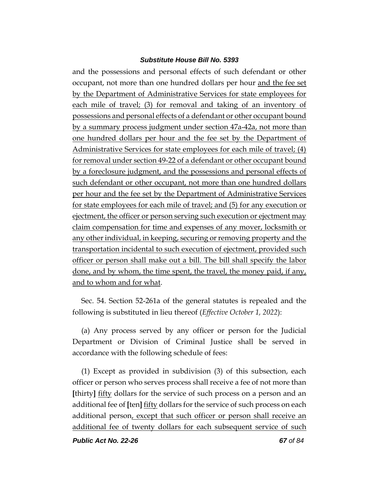and the possessions and personal effects of such defendant or other occupant, not more than one hundred dollars per hour and the fee set by the Department of Administrative Services for state employees for each mile of travel; (3) for removal and taking of an inventory of possessions and personal effects of a defendant or other occupant bound by a summary process judgment under section 47a-42a, not more than one hundred dollars per hour and the fee set by the Department of Administrative Services for state employees for each mile of travel; (4) for removal under section 49-22 of a defendant or other occupant bound by a foreclosure judgment, and the possessions and personal effects of such defendant or other occupant, not more than one hundred dollars per hour and the fee set by the Department of Administrative Services for state employees for each mile of travel; and (5) for any execution or ejectment, the officer or person serving such execution or ejectment may claim compensation for time and expenses of any mover, locksmith or any other individual, in keeping, securing or removing property and the transportation incidental to such execution of ejectment, provided such officer or person shall make out a bill. The bill shall specify the labor done, and by whom, the time spent, the travel, the money paid, if any, and to whom and for what.

Sec. 54. Section 52-261a of the general statutes is repealed and the following is substituted in lieu thereof (*Effective October 1, 2022*):

(a) Any process served by any officer or person for the Judicial Department or Division of Criminal Justice shall be served in accordance with the following schedule of fees:

(1) Except as provided in subdivision (3) of this subsection, each officer or person who serves process shall receive a fee of not more than **[**thirty**]** fifty dollars for the service of such process on a person and an additional fee of **[**ten**]** fifty dollars for the service of such process on each additional person, except that such officer or person shall receive an additional fee of twenty dollars for each subsequent service of such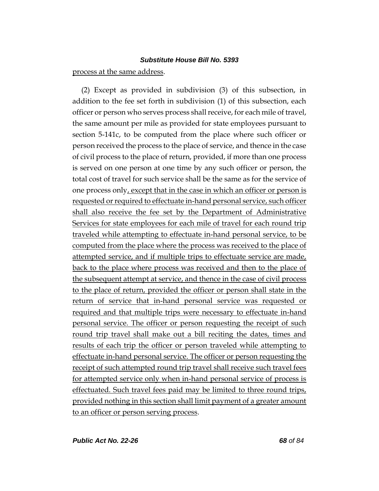### process at the same address.

(2) Except as provided in subdivision (3) of this subsection, in addition to the fee set forth in subdivision (1) of this subsection, each officer or person who serves process shall receive, for each mile of travel, the same amount per mile as provided for state employees pursuant to section 5-141c, to be computed from the place where such officer or person received the process to the place of service, and thence in the case of civil process to the place of return, provided, if more than one process is served on one person at one time by any such officer or person, the total cost of travel for such service shall be the same as for the service of one process only, except that in the case in which an officer or person is requested or required to effectuate in-hand personal service, such officer shall also receive the fee set by the Department of Administrative Services for state employees for each mile of travel for each round trip traveled while attempting to effectuate in-hand personal service, to be computed from the place where the process was received to the place of attempted service, and if multiple trips to effectuate service are made, back to the place where process was received and then to the place of the subsequent attempt at service, and thence in the case of civil process to the place of return, provided the officer or person shall state in the return of service that in-hand personal service was requested or required and that multiple trips were necessary to effectuate in-hand personal service. The officer or person requesting the receipt of such round trip travel shall make out a bill reciting the dates, times and results of each trip the officer or person traveled while attempting to effectuate in-hand personal service. The officer or person requesting the receipt of such attempted round trip travel shall receive such travel fees for attempted service only when in-hand personal service of process is effectuated. Such travel fees paid may be limited to three round trips, provided nothing in this section shall limit payment of a greater amount to an officer or person serving process.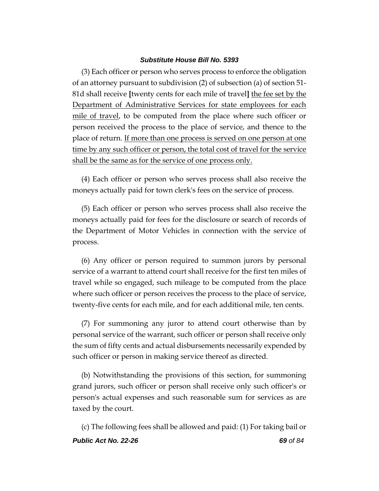(3) Each officer or person who serves process to enforce the obligation of an attorney pursuant to subdivision (2) of subsection (a) of section 51- 81d shall receive **[**twenty cents for each mile of travel**]** the fee set by the Department of Administrative Services for state employees for each mile of travel, to be computed from the place where such officer or person received the process to the place of service, and thence to the place of return. If more than one process is served on one person at one time by any such officer or person, the total cost of travel for the service shall be the same as for the service of one process only.

(4) Each officer or person who serves process shall also receive the moneys actually paid for town clerk's fees on the service of process.

(5) Each officer or person who serves process shall also receive the moneys actually paid for fees for the disclosure or search of records of the Department of Motor Vehicles in connection with the service of process.

(6) Any officer or person required to summon jurors by personal service of a warrant to attend court shall receive for the first ten miles of travel while so engaged, such mileage to be computed from the place where such officer or person receives the process to the place of service, twenty-five cents for each mile, and for each additional mile, ten cents.

(7) For summoning any juror to attend court otherwise than by personal service of the warrant, such officer or person shall receive only the sum of fifty cents and actual disbursements necessarily expended by such officer or person in making service thereof as directed.

(b) Notwithstanding the provisions of this section, for summoning grand jurors, such officer or person shall receive only such officer's or person's actual expenses and such reasonable sum for services as are taxed by the court.

*Public Act No. 22-26 69 of 84* (c) The following fees shall be allowed and paid: (1) For taking bail or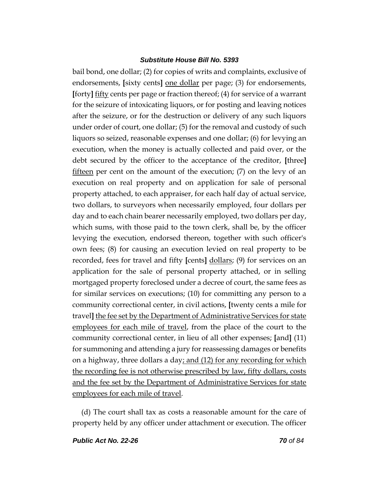bail bond, one dollar; (2) for copies of writs and complaints, exclusive of endorsements, **[**sixty cents**]** one dollar per page; (3) for endorsements, **[**forty**]** fifty cents per page or fraction thereof; (4) for service of a warrant for the seizure of intoxicating liquors, or for posting and leaving notices after the seizure, or for the destruction or delivery of any such liquors under order of court, one dollar; (5) for the removal and custody of such liquors so seized, reasonable expenses and one dollar; (6) for levying an execution, when the money is actually collected and paid over, or the debt secured by the officer to the acceptance of the creditor, **[**three**]** fifteen per cent on the amount of the execution; (7) on the levy of an execution on real property and on application for sale of personal property attached, to each appraiser, for each half day of actual service, two dollars, to surveyors when necessarily employed, four dollars per day and to each chain bearer necessarily employed, two dollars per day, which sums, with those paid to the town clerk, shall be, by the officer levying the execution, endorsed thereon, together with such officer's own fees; (8) for causing an execution levied on real property to be recorded, fees for travel and fifty **[**cents**]** dollars; (9) for services on an application for the sale of personal property attached, or in selling mortgaged property foreclosed under a decree of court, the same fees as for similar services on executions; (10) for committing any person to a community correctional center, in civil actions, **[**twenty cents a mile for travel**]** the fee set by the Department of Administrative Services for state employees for each mile of travel, from the place of the court to the community correctional center, in lieu of all other expenses; **[**and**]** (11) for summoning and attending a jury for reassessing damages or benefits on a highway, three dollars a day; and (12) for any recording for which the recording fee is not otherwise prescribed by law, fifty dollars, costs and the fee set by the Department of Administrative Services for state employees for each mile of travel.

(d) The court shall tax as costs a reasonable amount for the care of property held by any officer under attachment or execution. The officer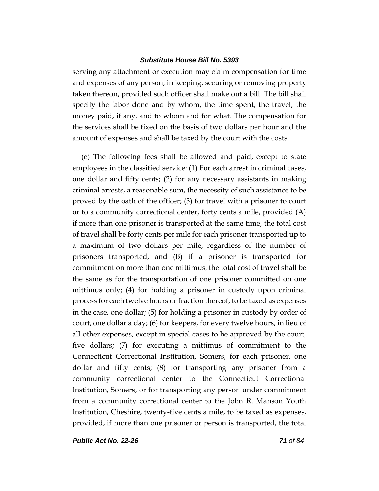serving any attachment or execution may claim compensation for time and expenses of any person, in keeping, securing or removing property taken thereon, provided such officer shall make out a bill. The bill shall specify the labor done and by whom, the time spent, the travel, the money paid, if any, and to whom and for what. The compensation for the services shall be fixed on the basis of two dollars per hour and the amount of expenses and shall be taxed by the court with the costs.

(e) The following fees shall be allowed and paid, except to state employees in the classified service: (1) For each arrest in criminal cases, one dollar and fifty cents; (2) for any necessary assistants in making criminal arrests, a reasonable sum, the necessity of such assistance to be proved by the oath of the officer; (3) for travel with a prisoner to court or to a community correctional center, forty cents a mile, provided (A) if more than one prisoner is transported at the same time, the total cost of travel shall be forty cents per mile for each prisoner transported up to a maximum of two dollars per mile, regardless of the number of prisoners transported, and (B) if a prisoner is transported for commitment on more than one mittimus, the total cost of travel shall be the same as for the transportation of one prisoner committed on one mittimus only; (4) for holding a prisoner in custody upon criminal process for each twelve hours or fraction thereof, to be taxed as expenses in the case, one dollar; (5) for holding a prisoner in custody by order of court, one dollar a day; (6) for keepers, for every twelve hours, in lieu of all other expenses, except in special cases to be approved by the court, five dollars; (7) for executing a mittimus of commitment to the Connecticut Correctional Institution, Somers, for each prisoner, one dollar and fifty cents; (8) for transporting any prisoner from a community correctional center to the Connecticut Correctional Institution, Somers, or for transporting any person under commitment from a community correctional center to the John R. Manson Youth Institution, Cheshire, twenty-five cents a mile, to be taxed as expenses, provided, if more than one prisoner or person is transported, the total

*Public Act No. 22-26 71 of 84*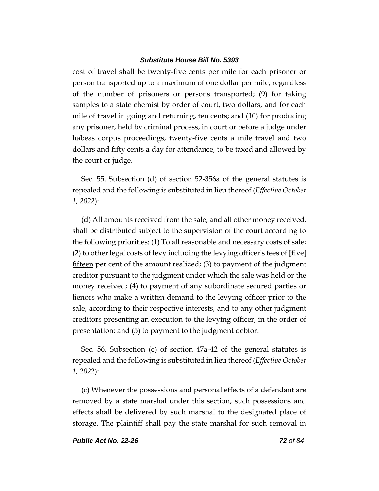cost of travel shall be twenty-five cents per mile for each prisoner or person transported up to a maximum of one dollar per mile, regardless of the number of prisoners or persons transported; (9) for taking samples to a state chemist by order of court, two dollars, and for each mile of travel in going and returning, ten cents; and (10) for producing any prisoner, held by criminal process, in court or before a judge under habeas corpus proceedings, twenty-five cents a mile travel and two dollars and fifty cents a day for attendance, to be taxed and allowed by the court or judge.

Sec. 55. Subsection (d) of section 52-356a of the general statutes is repealed and the following is substituted in lieu thereof (*Effective October 1, 2022*):

(d) All amounts received from the sale, and all other money received, shall be distributed subject to the supervision of the court according to the following priorities: (1) To all reasonable and necessary costs of sale; (2) to other legal costs of levy including the levying officer's fees of **[**five**]** fifteen per cent of the amount realized; (3) to payment of the judgment creditor pursuant to the judgment under which the sale was held or the money received; (4) to payment of any subordinate secured parties or lienors who make a written demand to the levying officer prior to the sale, according to their respective interests, and to any other judgment creditors presenting an execution to the levying officer, in the order of presentation; and (5) to payment to the judgment debtor.

Sec. 56. Subsection (c) of section 47a-42 of the general statutes is repealed and the following is substituted in lieu thereof (*Effective October 1, 2022*):

(c) Whenever the possessions and personal effects of a defendant are removed by a state marshal under this section, such possessions and effects shall be delivered by such marshal to the designated place of storage. The plaintiff shall pay the state marshal for such removal in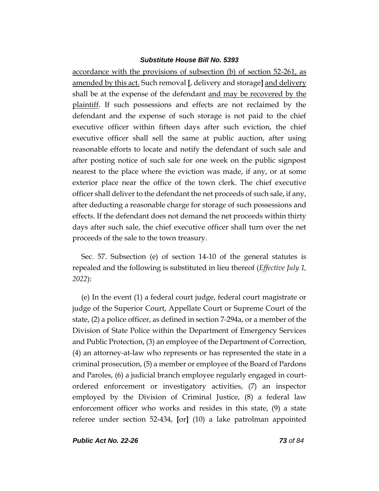accordance with the provisions of subsection (b) of section 52-261, as amended by this act. Such removal **[**, delivery and storage**]** and delivery shall be at the expense of the defendant and may be recovered by the plaintiff. If such possessions and effects are not reclaimed by the defendant and the expense of such storage is not paid to the chief executive officer within fifteen days after such eviction, the chief executive officer shall sell the same at public auction, after using reasonable efforts to locate and notify the defendant of such sale and after posting notice of such sale for one week on the public signpost nearest to the place where the eviction was made, if any, or at some exterior place near the office of the town clerk. The chief executive officer shall deliver to the defendant the net proceeds of such sale, if any, after deducting a reasonable charge for storage of such possessions and effects. If the defendant does not demand the net proceeds within thirty days after such sale, the chief executive officer shall turn over the net proceeds of the sale to the town treasury.

Sec. 57. Subsection (e) of section 14-10 of the general statutes is repealed and the following is substituted in lieu thereof (*Effective July 1, 2022*):

(e) In the event (1) a federal court judge, federal court magistrate or judge of the Superior Court, Appellate Court or Supreme Court of the state, (2) a police officer, as defined in section 7-294a, or a member of the Division of State Police within the Department of Emergency Services and Public Protection, (3) an employee of the Department of Correction, (4) an attorney-at-law who represents or has represented the state in a criminal prosecution, (5) a member or employee of the Board of Pardons and Paroles, (6) a judicial branch employee regularly engaged in courtordered enforcement or investigatory activities, (7) an inspector employed by the Division of Criminal Justice, (8) a federal law enforcement officer who works and resides in this state, (9) a state referee under section 52-434, **[**or**]** (10) a lake patrolman appointed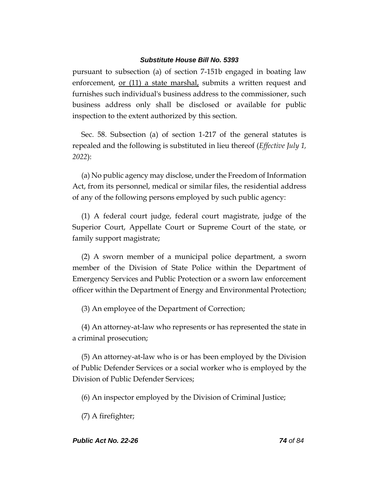pursuant to subsection (a) of section 7-151b engaged in boating law enforcement, or (11) a state marshal, submits a written request and furnishes such individual's business address to the commissioner, such business address only shall be disclosed or available for public inspection to the extent authorized by this section.

Sec. 58. Subsection (a) of section 1-217 of the general statutes is repealed and the following is substituted in lieu thereof (*Effective July 1, 2022*):

(a) No public agency may disclose, under the Freedom of Information Act, from its personnel, medical or similar files, the residential address of any of the following persons employed by such public agency:

(1) A federal court judge, federal court magistrate, judge of the Superior Court, Appellate Court or Supreme Court of the state, or family support magistrate;

(2) A sworn member of a municipal police department, a sworn member of the Division of State Police within the Department of Emergency Services and Public Protection or a sworn law enforcement officer within the Department of Energy and Environmental Protection;

(3) An employee of the Department of Correction;

(4) An attorney-at-law who represents or has represented the state in a criminal prosecution;

(5) An attorney-at-law who is or has been employed by the Division of Public Defender Services or a social worker who is employed by the Division of Public Defender Services;

(6) An inspector employed by the Division of Criminal Justice;

(7) A firefighter;

# *Public Act No. 22-26 74 of 84*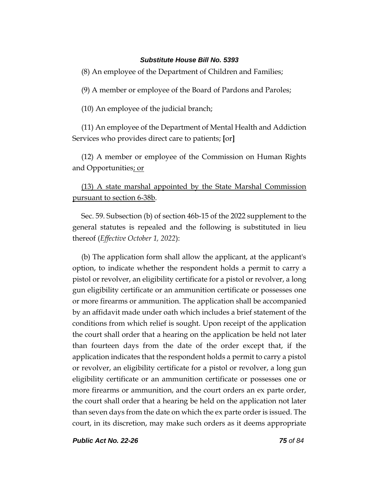(8) An employee of the Department of Children and Families;

(9) A member or employee of the Board of Pardons and Paroles;

(10) An employee of the judicial branch;

(11) An employee of the Department of Mental Health and Addiction Services who provides direct care to patients; **[**or**]**

(12) A member or employee of the Commission on Human Rights and Opportunities; or

# (13) A state marshal appointed by the State Marshal Commission pursuant to section 6-38b.

Sec. 59. Subsection (b) of section 46b-15 of the 2022 supplement to the general statutes is repealed and the following is substituted in lieu thereof (*Effective October 1, 2022*):

(b) The application form shall allow the applicant, at the applicant's option, to indicate whether the respondent holds a permit to carry a pistol or revolver, an eligibility certificate for a pistol or revolver, a long gun eligibility certificate or an ammunition certificate or possesses one or more firearms or ammunition. The application shall be accompanied by an affidavit made under oath which includes a brief statement of the conditions from which relief is sought. Upon receipt of the application the court shall order that a hearing on the application be held not later than fourteen days from the date of the order except that, if the application indicates that the respondent holds a permit to carry a pistol or revolver, an eligibility certificate for a pistol or revolver, a long gun eligibility certificate or an ammunition certificate or possesses one or more firearms or ammunition, and the court orders an ex parte order, the court shall order that a hearing be held on the application not later than seven days from the date on which the ex parte order is issued. The court, in its discretion, may make such orders as it deems appropriate

*Public Act No. 22-26 75 of 84*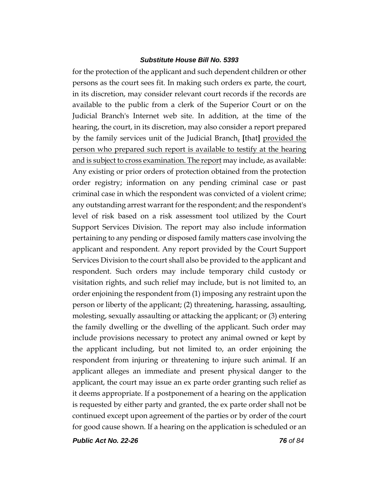for the protection of the applicant and such dependent children or other persons as the court sees fit. In making such orders ex parte, the court, in its discretion, may consider relevant court records if the records are available to the public from a clerk of the Superior Court or on the Judicial Branch's Internet web site. In addition, at the time of the hearing, the court, in its discretion, may also consider a report prepared by the family services unit of the Judicial Branch, **[**that**]** provided the person who prepared such report is available to testify at the hearing and is subject to cross examination. The report may include, as available: Any existing or prior orders of protection obtained from the protection order registry; information on any pending criminal case or past criminal case in which the respondent was convicted of a violent crime; any outstanding arrest warrant for the respondent; and the respondent's level of risk based on a risk assessment tool utilized by the Court Support Services Division. The report may also include information pertaining to any pending or disposed family matters case involving the applicant and respondent. Any report provided by the Court Support Services Division to the court shall also be provided to the applicant and respondent. Such orders may include temporary child custody or visitation rights, and such relief may include, but is not limited to, an order enjoining the respondent from (1) imposing any restraint upon the person or liberty of the applicant; (2) threatening, harassing, assaulting, molesting, sexually assaulting or attacking the applicant; or (3) entering the family dwelling or the dwelling of the applicant. Such order may include provisions necessary to protect any animal owned or kept by the applicant including, but not limited to, an order enjoining the respondent from injuring or threatening to injure such animal. If an applicant alleges an immediate and present physical danger to the applicant, the court may issue an ex parte order granting such relief as it deems appropriate. If a postponement of a hearing on the application is requested by either party and granted, the ex parte order shall not be continued except upon agreement of the parties or by order of the court for good cause shown. If a hearing on the application is scheduled or an

*Public Act No. 22-26 76 of 84*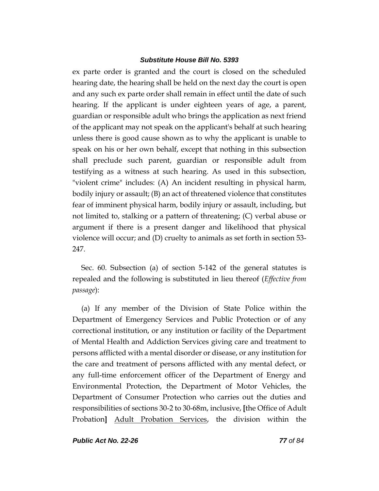ex parte order is granted and the court is closed on the scheduled hearing date, the hearing shall be held on the next day the court is open and any such ex parte order shall remain in effect until the date of such hearing. If the applicant is under eighteen years of age, a parent, guardian or responsible adult who brings the application as next friend of the applicant may not speak on the applicant's behalf at such hearing unless there is good cause shown as to why the applicant is unable to speak on his or her own behalf, except that nothing in this subsection shall preclude such parent, guardian or responsible adult from testifying as a witness at such hearing. As used in this subsection, "violent crime" includes: (A) An incident resulting in physical harm, bodily injury or assault; (B) an act of threatened violence that constitutes fear of imminent physical harm, bodily injury or assault, including, but not limited to, stalking or a pattern of threatening; (C) verbal abuse or argument if there is a present danger and likelihood that physical violence will occur; and (D) cruelty to animals as set forth in section 53- 247.

Sec. 60. Subsection (a) of section 5-142 of the general statutes is repealed and the following is substituted in lieu thereof (*Effective from passage*):

(a) If any member of the Division of State Police within the Department of Emergency Services and Public Protection or of any correctional institution, or any institution or facility of the Department of Mental Health and Addiction Services giving care and treatment to persons afflicted with a mental disorder or disease, or any institution for the care and treatment of persons afflicted with any mental defect, or any full-time enforcement officer of the Department of Energy and Environmental Protection, the Department of Motor Vehicles, the Department of Consumer Protection who carries out the duties and responsibilities of sections 30-2 to 30-68m, inclusive, **[**the Office of Adult Probation**]** Adult Probation Services, the division within the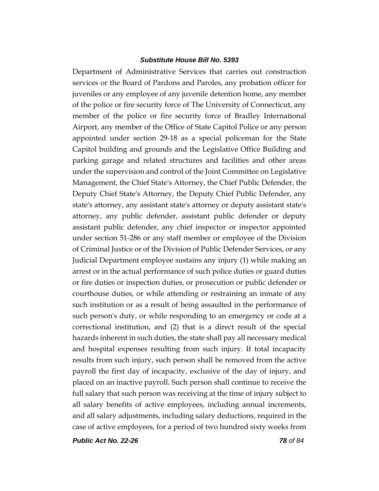Department of Administrative Services that carries out construction services or the Board of Pardons and Paroles, any probation officer for juveniles or any employee of any juvenile detention home, any member of the police or fire security force of The University of Connecticut, any member of the police or fire security force of Bradley International Airport, any member of the Office of State Capitol Police or any person appointed under section 29-18 as a special policeman for the State Capitol building and grounds and the Legislative Office Building and parking garage and related structures and facilities and other areas under the supervision and control of the Joint Committee on Legislative Management, the Chief State's Attorney, the Chief Public Defender, the Deputy Chief State's Attorney, the Deputy Chief Public Defender, any state's attorney, any assistant state's attorney or deputy assistant state's attorney, any public defender, assistant public defender or deputy assistant public defender, any chief inspector or inspector appointed under section 51-286 or any staff member or employee of the Division of Criminal Justice or of the Division of Public Defender Services, or any Judicial Department employee sustains any injury (1) while making an arrest or in the actual performance of such police duties or guard duties or fire duties or inspection duties, or prosecution or public defender or courthouse duties, or while attending or restraining an inmate of any such institution or as a result of being assaulted in the performance of such person's duty, or while responding to an emergency or code at a correctional institution, and (2) that is a direct result of the special hazards inherent in such duties, the state shall pay all necessary medical and hospital expenses resulting from such injury. If total incapacity results from such injury, such person shall be removed from the active payroll the first day of incapacity, exclusive of the day of injury, and placed on an inactive payroll. Such person shall continue to receive the full salary that such person was receiving at the time of injury subject to all salary benefits of active employees, including annual increments, and all salary adjustments, including salary deductions, required in the case of active employees, for a period of two hundred sixty weeks from

*Public Act No. 22-26 78 of 84*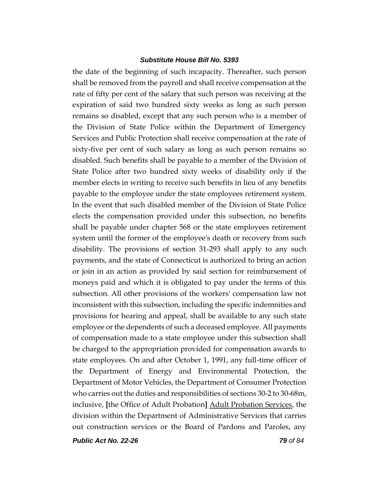the date of the beginning of such incapacity. Thereafter, such person shall be removed from the payroll and shall receive compensation at the rate of fifty per cent of the salary that such person was receiving at the expiration of said two hundred sixty weeks as long as such person remains so disabled, except that any such person who is a member of the Division of State Police within the Department of Emergency Services and Public Protection shall receive compensation at the rate of sixty-five per cent of such salary as long as such person remains so disabled. Such benefits shall be payable to a member of the Division of State Police after two hundred sixty weeks of disability only if the member elects in writing to receive such benefits in lieu of any benefits payable to the employee under the state employees retirement system. In the event that such disabled member of the Division of State Police elects the compensation provided under this subsection, no benefits shall be payable under chapter 568 or the state employees retirement system until the former of the employee's death or recovery from such disability. The provisions of section 31-293 shall apply to any such payments, and the state of Connecticut is authorized to bring an action or join in an action as provided by said section for reimbursement of moneys paid and which it is obligated to pay under the terms of this subsection. All other provisions of the workers' compensation law not inconsistent with this subsection, including the specific indemnities and provisions for hearing and appeal, shall be available to any such state employee or the dependents of such a deceased employee. All payments of compensation made to a state employee under this subsection shall be charged to the appropriation provided for compensation awards to state employees. On and after October 1, 1991, any full-time officer of the Department of Energy and Environmental Protection, the Department of Motor Vehicles, the Department of Consumer Protection who carries out the duties and responsibilities of sections 30-2 to 30-68m, inclusive, **[**the Office of Adult Probation**]** Adult Probation Services, the division within the Department of Administrative Services that carries out construction services or the Board of Pardons and Paroles, any

*Public Act No. 22-26 79 of 84*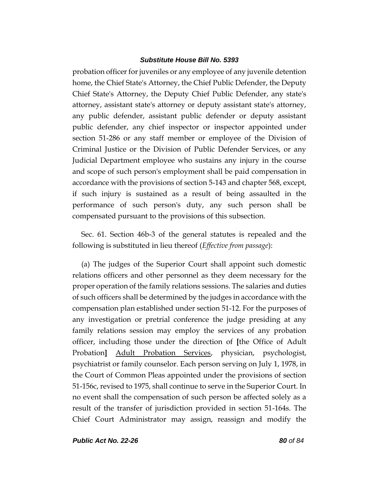probation officer for juveniles or any employee of any juvenile detention home, the Chief State's Attorney, the Chief Public Defender, the Deputy Chief State's Attorney, the Deputy Chief Public Defender, any state's attorney, assistant state's attorney or deputy assistant state's attorney, any public defender, assistant public defender or deputy assistant public defender, any chief inspector or inspector appointed under section 51-286 or any staff member or employee of the Division of Criminal Justice or the Division of Public Defender Services, or any Judicial Department employee who sustains any injury in the course and scope of such person's employment shall be paid compensation in accordance with the provisions of section 5-143 and chapter 568, except, if such injury is sustained as a result of being assaulted in the performance of such person's duty, any such person shall be compensated pursuant to the provisions of this subsection.

Sec. 61. Section 46b-3 of the general statutes is repealed and the following is substituted in lieu thereof (*Effective from passage*):

(a) The judges of the Superior Court shall appoint such domestic relations officers and other personnel as they deem necessary for the proper operation of the family relations sessions. The salaries and duties of such officers shall be determined by the judges in accordance with the compensation plan established under section 51-12. For the purposes of any investigation or pretrial conference the judge presiding at any family relations session may employ the services of any probation officer, including those under the direction of **[**the Office of Adult Probation**]** Adult Probation Services, physician, psychologist, psychiatrist or family counselor. Each person serving on July 1, 1978, in the Court of Common Pleas appointed under the provisions of section 51-156c, revised to 1975, shall continue to serve in the Superior Court. In no event shall the compensation of such person be affected solely as a result of the transfer of jurisdiction provided in section 51-164s. The Chief Court Administrator may assign, reassign and modify the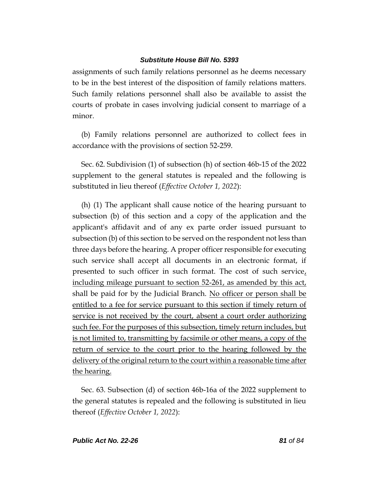assignments of such family relations personnel as he deems necessary to be in the best interest of the disposition of family relations matters. Such family relations personnel shall also be available to assist the courts of probate in cases involving judicial consent to marriage of a minor.

(b) Family relations personnel are authorized to collect fees in accordance with the provisions of section 52-259.

Sec. 62. Subdivision (1) of subsection (h) of section 46b-15 of the 2022 supplement to the general statutes is repealed and the following is substituted in lieu thereof (*Effective October 1, 2022*):

(h) (1) The applicant shall cause notice of the hearing pursuant to subsection (b) of this section and a copy of the application and the applicant's affidavit and of any ex parte order issued pursuant to subsection (b) of this section to be served on the respondent not less than three days before the hearing. A proper officer responsible for executing such service shall accept all documents in an electronic format, if presented to such officer in such format. The cost of such service, including mileage pursuant to section 52-261, as amended by this act, shall be paid for by the Judicial Branch. No officer or person shall be entitled to a fee for service pursuant to this section if timely return of service is not received by the court, absent a court order authorizing such fee. For the purposes of this subsection, timely return includes, but is not limited to, transmitting by facsimile or other means, a copy of the return of service to the court prior to the hearing followed by the delivery of the original return to the court within a reasonable time after the hearing.

Sec. 63. Subsection (d) of section 46b-16a of the 2022 supplement to the general statutes is repealed and the following is substituted in lieu thereof (*Effective October 1, 2022*):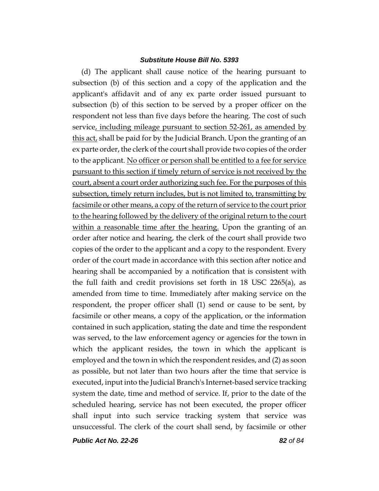(d) The applicant shall cause notice of the hearing pursuant to subsection (b) of this section and a copy of the application and the applicant's affidavit and of any ex parte order issued pursuant to subsection (b) of this section to be served by a proper officer on the respondent not less than five days before the hearing. The cost of such service, including mileage pursuant to section 52-261, as amended by this act, shall be paid for by the Judicial Branch. Upon the granting of an ex parte order, the clerk of the court shall provide two copies of the order to the applicant. No officer or person shall be entitled to a fee for service pursuant to this section if timely return of service is not received by the court, absent a court order authorizing such fee. For the purposes of this subsection, timely return includes, but is not limited to, transmitting by facsimile or other means, a copy of the return of service to the court prior to the hearing followed by the delivery of the original return to the court within a reasonable time after the hearing. Upon the granting of an order after notice and hearing, the clerk of the court shall provide two copies of the order to the applicant and a copy to the respondent. Every order of the court made in accordance with this section after notice and hearing shall be accompanied by a notification that is consistent with the full faith and credit provisions set forth in 18 USC 2265(a), as amended from time to time. Immediately after making service on the respondent, the proper officer shall (1) send or cause to be sent, by facsimile or other means, a copy of the application, or the information contained in such application, stating the date and time the respondent was served, to the law enforcement agency or agencies for the town in which the applicant resides, the town in which the applicant is employed and the town in which the respondent resides, and (2) as soon as possible, but not later than two hours after the time that service is executed, input into the Judicial Branch's Internet-based service tracking system the date, time and method of service. If, prior to the date of the scheduled hearing, service has not been executed, the proper officer shall input into such service tracking system that service was unsuccessful. The clerk of the court shall send, by facsimile or other

*Public Act No. 22-26 82 of 84*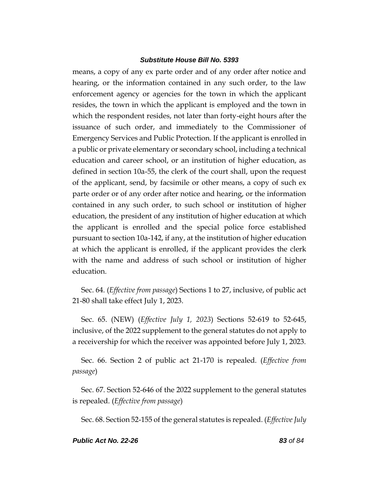means, a copy of any ex parte order and of any order after notice and hearing, or the information contained in any such order, to the law enforcement agency or agencies for the town in which the applicant resides, the town in which the applicant is employed and the town in which the respondent resides, not later than forty-eight hours after the issuance of such order, and immediately to the Commissioner of Emergency Services and Public Protection. If the applicant is enrolled in a public or private elementary or secondary school, including a technical education and career school, or an institution of higher education, as defined in section 10a-55, the clerk of the court shall, upon the request of the applicant, send, by facsimile or other means, a copy of such ex parte order or of any order after notice and hearing, or the information contained in any such order, to such school or institution of higher education, the president of any institution of higher education at which the applicant is enrolled and the special police force established pursuant to section 10a-142, if any, at the institution of higher education at which the applicant is enrolled, if the applicant provides the clerk with the name and address of such school or institution of higher education.

Sec. 64. (*Effective from passage*) Sections 1 to 27, inclusive, of public act 21-80 shall take effect July 1, 2023.

Sec. 65. (NEW) (*Effective July 1, 2023*) Sections 52-619 to 52-645, inclusive, of the 2022 supplement to the general statutes do not apply to a receivership for which the receiver was appointed before July 1, 2023.

Sec. 66. Section 2 of public act 21-170 is repealed. (*Effective from passage*)

Sec. 67. Section 52-646 of the 2022 supplement to the general statutes is repealed. (*Effective from passage*)

Sec. 68. Section 52-155 of the general statutes is repealed. (*Effective July*